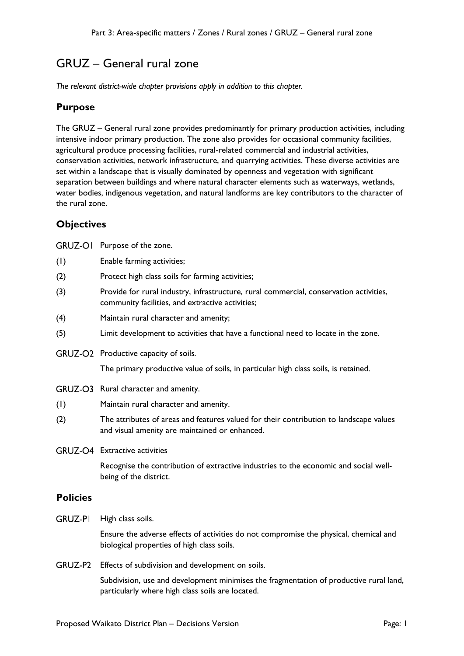# GRUZ – General rural zone

*The relevant district-wide chapter provisions apply in addition to this chapter.* 

## **Purpose**

The GRUZ – General rural zone provides predominantly for primary production activities, including intensive indoor primary production. The zone also provides for occasional community facilities, agricultural produce processing facilities, rural-related commercial and industrial activities, conservation activities, network infrastructure, and quarrying activities. These diverse activities are set within a landscape that is visually dominated by openness and vegetation with significant separation between buildings and where natural character elements such as waterways, wetlands, water bodies, indigenous vegetation, and natural landforms are key contributors to the character of the rural zone.

## **Objectives**

GRUZ-OI Purpose of the zone.

- (1) Enable farming activities;
- (2) Protect high class soils for farming activities;
- (3) Provide for rural industry, infrastructure, rural commercial, conservation activities, community facilities, and extractive activities;
- (4) Maintain rural character and amenity;
- (5) Limit development to activities that have a functional need to locate in the zone.
- GRUZ-O2 Productive capacity of soils.

The primary productive value of soils, in particular high class soils, is retained.

- GRUZ-O3 Rural character and amenity.
- (1) Maintain rural character and amenity.
- (2) The attributes of areas and features valued for their contribution to landscape values and visual amenity are maintained or enhanced.
- GRUZ-O4 Extractive activities

Recognise the contribution of extractive industries to the economic and social wellbeing of the district.

### **Policies**

GRUZ-PI High class soils.

Ensure the adverse effects of activities do not compromise the physical, chemical and biological properties of high class soils.

GRUZ-P2 Effects of subdivision and development on soils.

Subdivision, use and development minimises the fragmentation of productive rural land, particularly where high class soils are located.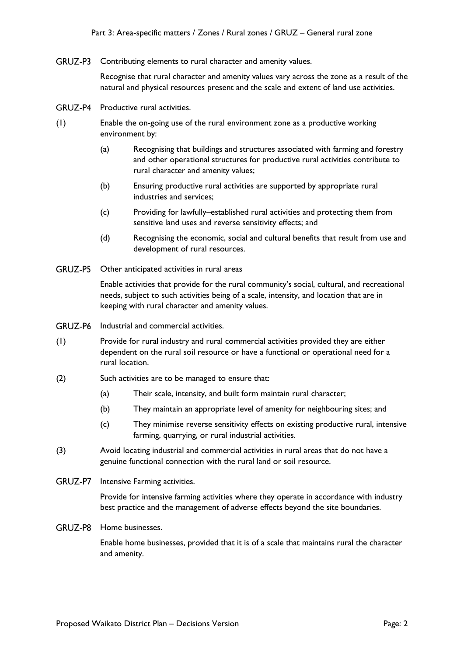GRUZ-P3 Contributing elements to rural character and amenity values.

Recognise that rural character and amenity values vary across the zone as a result of the natural and physical resources present and the scale and extent of land use activities.

- GRUZ-P4 Productive rural activities.
- (1) Enable the on-going use of the rural environment zone as a productive working environment by:
	- (a) Recognising that buildings and structures associated with farming and forestry and other operational structures for productive rural activities contribute to rural character and amenity values;
	- (b) Ensuring productive rural activities are supported by appropriate rural industries and services;
	- (c) Providing for lawfully–established rural activities and protecting them from sensitive land uses and reverse sensitivity effects; and
	- (d) Recognising the economic, social and cultural benefits that result from use and development of rural resources.
- GRUZ-P5 Other anticipated activities in rural areas

Enable activities that provide for the rural community's social, cultural, and recreational needs, subject to such activities being of a scale, intensity, and location that are in keeping with rural character and amenity values.

- GRUZ-P6 Industrial and commercial activities.
- (1) Provide for rural industry and rural commercial activities provided they are either dependent on the rural soil resource or have a functional or operational need for a rural location.
- (2) Such activities are to be managed to ensure that:
	- (a) Their scale, intensity, and built form maintain rural character;
	- (b) They maintain an appropriate level of amenity for neighbouring sites; and
	- (c) They minimise reverse sensitivity effects on existing productive rural, intensive farming, quarrying, or rural industrial activities.
- (3) Avoid locating industrial and commercial activities in rural areas that do not have a genuine functional connection with the rural land or soil resource.
- GRUZ-P7 Intensive Farming activities.

Provide for intensive farming activities where they operate in accordance with industry best practice and the management of adverse effects beyond the site boundaries.

GRUZ-P8 Home businesses.

Enable home businesses, provided that it is of a scale that maintains rural the character and amenity.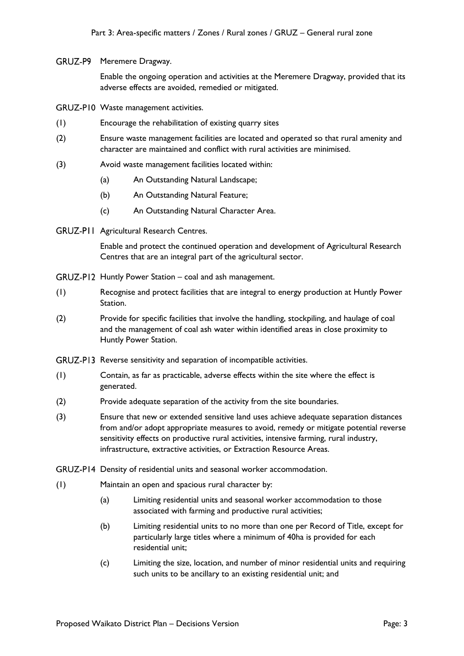GRUZ-P9 Meremere Dragway.

Enable the ongoing operation and activities at the Meremere Dragway, provided that its adverse effects are avoided, remedied or mitigated.

GRUZ-PI0 Waste management activities.

- (1) Encourage the rehabilitation of existing quarry sites
- (2) Ensure waste management facilities are located and operated so that rural amenity and character are maintained and conflict with rural activities are minimised.
- (3) Avoid waste management facilities located within:
	- (a) An Outstanding Natural Landscape;
	- (b) An Outstanding Natural Feature;
	- (c) An Outstanding Natural Character Area.
- GRUZ-PII Agricultural Research Centres.

Enable and protect the continued operation and development of Agricultural Research Centres that are an integral part of the agricultural sector.

- GRUZ-P12 Huntly Power Station coal and ash management.
- (1) Recognise and protect facilities that are integral to energy production at Huntly Power Station.
- (2) Provide for specific facilities that involve the handling, stockpiling, and haulage of coal and the management of coal ash water within identified areas in close proximity to Huntly Power Station.
- GRUZ-P13 Reverse sensitivity and separation of incompatible activities.
- (1) Contain, as far as practicable, adverse effects within the site where the effect is generated.
- (2) Provide adequate separation of the activity from the site boundaries.
- (3) Ensure that new or extended sensitive land uses achieve adequate separation distances from and/or adopt appropriate measures to avoid, remedy or mitigate potential reverse sensitivity effects on productive rural activities, intensive farming, rural industry, infrastructure, extractive activities, or Extraction Resource Areas.

GRUZ-P14 Density of residential units and seasonal worker accommodation.

- (1) Maintain an open and spacious rural character by:
	- (a) Limiting residential units and seasonal worker accommodation to those associated with farming and productive rural activities;
	- (b) Limiting residential units to no more than one per Record of Title, except for particularly large titles where a minimum of 40ha is provided for each residential unit;
	- (c) Limiting the size, location, and number of minor residential units and requiring such units to be ancillary to an existing residential unit; and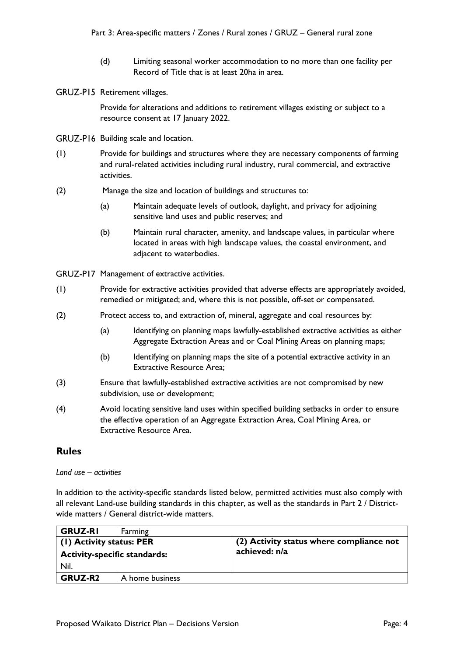- (d) Limiting seasonal worker accommodation to no more than one facility per Record of Title that is at least 20ha in area.
- GRUZ-P15 Retirement villages.

Provide for alterations and additions to retirement villages existing or subject to a resource consent at 17 January 2022.

- GRUZ-P16 Building scale and location.
- (1) Provide for buildings and structures where they are necessary components of farming and rural-related activities including rural industry, rural commercial, and extractive activities.
- (2) Manage the size and location of buildings and structures to:
	- (a) Maintain adequate levels of outlook, daylight, and privacy for adjoining sensitive land uses and public reserves; and
	- (b) Maintain rural character, amenity, and landscape values, in particular where located in areas with high landscape values, the coastal environment, and adjacent to waterbodies.
- GRUZ-P17 Management of extractive activities.
- (1) Provide for extractive activities provided that adverse effects are appropriately avoided, remedied or mitigated; and, where this is not possible, off-set or compensated.
- (2) Protect access to, and extraction of, mineral, aggregate and coal resources by:
	- (a) Identifying on planning maps lawfully-established extractive activities as either Aggregate Extraction Areas and or Coal Mining Areas on planning maps;
	- (b) Identifying on planning maps the site of a potential extractive activity in an Extractive Resource Area;
- (3) Ensure that lawfully-established extractive activities are not compromised by new subdivision, use or development;
- (4) Avoid locating sensitive land uses within specified building setbacks in order to ensure the effective operation of an Aggregate Extraction Area, Coal Mining Area, or Extractive Resource Area.

## **Rules**

#### *Land use – activities*

In addition to the activity-specific standards listed below, permitted activities must also comply with all relevant Land-use building standards in this chapter, as well as the standards in Part 2 / Districtwide matters / General district-wide matters.

| <b>GRUZ-RI</b>                      | Farming         |                                          |
|-------------------------------------|-----------------|------------------------------------------|
| (1) Activity status: PER            |                 | (2) Activity status where compliance not |
| <b>Activity-specific standards:</b> |                 | achieved: n/a                            |
| Nil.                                |                 |                                          |
| <b>GRUZ-R2</b>                      | A home business |                                          |
|                                     |                 |                                          |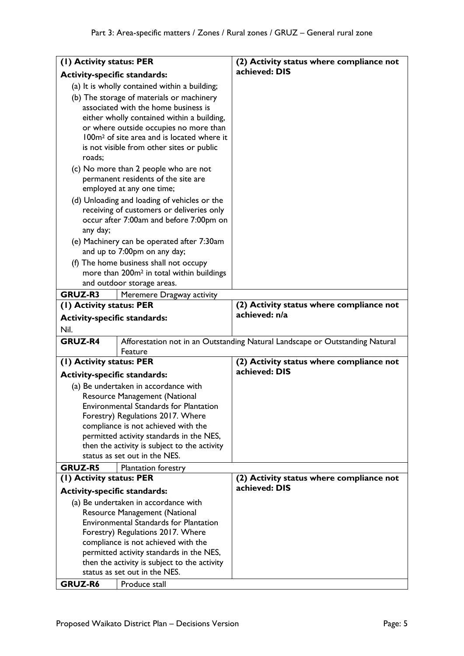| (1) Activity status: PER                                                                                  |                                                                                 | (2) Activity status where compliance not                                     |
|-----------------------------------------------------------------------------------------------------------|---------------------------------------------------------------------------------|------------------------------------------------------------------------------|
| <b>Activity-specific standards:</b>                                                                       |                                                                                 | achieved: DIS                                                                |
| (a) It is wholly contained within a building;                                                             |                                                                                 |                                                                              |
| (b) The storage of materials or machinery                                                                 |                                                                                 |                                                                              |
| associated with the home business is                                                                      |                                                                                 |                                                                              |
|                                                                                                           | either wholly contained within a building,                                      |                                                                              |
|                                                                                                           | or where outside occupies no more than                                          |                                                                              |
|                                                                                                           | 100m <sup>2</sup> of site area and is located where it                          |                                                                              |
| roads;                                                                                                    | is not visible from other sites or public                                       |                                                                              |
| (c) No more than 2 people who are not<br>permanent residents of the site are<br>employed at any one time; |                                                                                 |                                                                              |
|                                                                                                           | (d) Unloading and loading of vehicles or the                                    |                                                                              |
|                                                                                                           | receiving of customers or deliveries only                                       |                                                                              |
|                                                                                                           | occur after 7:00am and before 7:00pm on                                         |                                                                              |
| any day;                                                                                                  |                                                                                 |                                                                              |
|                                                                                                           | (e) Machinery can be operated after 7:30am                                      |                                                                              |
|                                                                                                           | and up to 7:00pm on any day;                                                    |                                                                              |
|                                                                                                           | (f) The home business shall not occupy                                          |                                                                              |
|                                                                                                           | more than 200m <sup>2</sup> in total within buildings                           |                                                                              |
|                                                                                                           | and outdoor storage areas.                                                      |                                                                              |
| <b>GRUZ-R3</b>                                                                                            | Meremere Dragway activity                                                       |                                                                              |
| (1) Activity status: PER                                                                                  |                                                                                 | (2) Activity status where compliance not<br>achieved: n/a                    |
| <b>Activity-specific standards:</b>                                                                       |                                                                                 |                                                                              |
| Nil.                                                                                                      |                                                                                 |                                                                              |
| <b>GRUZ-R4</b>                                                                                            |                                                                                 | Afforestation not in an Outstanding Natural Landscape or Outstanding Natural |
|                                                                                                           | Feature                                                                         |                                                                              |
| (1) Activity status: PER                                                                                  |                                                                                 | (2) Activity status where compliance not<br>achieved: DIS                    |
| <b>Activity-specific standards:</b>                                                                       |                                                                                 |                                                                              |
|                                                                                                           | (a) Be undertaken in accordance with                                            |                                                                              |
|                                                                                                           | Resource Management (National<br><b>Environmental Standards for Plantation</b>  |                                                                              |
|                                                                                                           | Forestry) Regulations 2017. Where                                               |                                                                              |
|                                                                                                           | compliance is not achieved with the                                             |                                                                              |
|                                                                                                           | permitted activity standards in the NES,                                        |                                                                              |
|                                                                                                           | then the activity is subject to the activity                                    |                                                                              |
|                                                                                                           | status as set out in the NES.                                                   |                                                                              |
| GRUZ-R5                                                                                                   | Plantation forestry                                                             |                                                                              |
| (1) Activity status: PER                                                                                  |                                                                                 | (2) Activity status where compliance not                                     |
| <b>Activity-specific standards:</b>                                                                       |                                                                                 | achieved: DIS                                                                |
|                                                                                                           | (a) Be undertaken in accordance with                                            |                                                                              |
|                                                                                                           | Resource Management (National                                                   |                                                                              |
|                                                                                                           | <b>Environmental Standards for Plantation</b>                                   |                                                                              |
|                                                                                                           | Forestry) Regulations 2017. Where                                               |                                                                              |
|                                                                                                           | compliance is not achieved with the<br>permitted activity standards in the NES, |                                                                              |
|                                                                                                           | then the activity is subject to the activity                                    |                                                                              |
|                                                                                                           | status as set out in the NES.                                                   |                                                                              |
| <b>GRUZ-R6</b>                                                                                            | Produce stall                                                                   |                                                                              |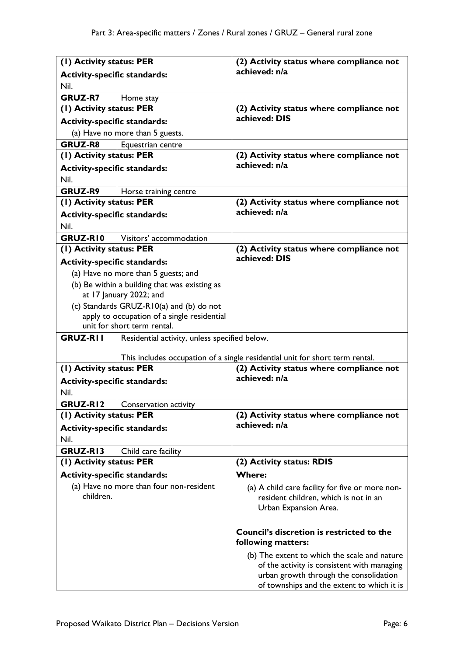| (1) Activity status: PER                                         | (2) Activity status where compliance not                                                 |
|------------------------------------------------------------------|------------------------------------------------------------------------------------------|
| <b>Activity-specific standards:</b>                              | achieved: n/a                                                                            |
| Nil.                                                             |                                                                                          |
| <b>GRUZ-R7</b><br>Home stay                                      |                                                                                          |
| (1) Activity status: PER                                         | (2) Activity status where compliance not                                                 |
| <b>Activity-specific standards:</b>                              | achieved: DIS                                                                            |
| (a) Have no more than 5 guests.                                  |                                                                                          |
| <b>GRUZ-R8</b><br>Equestrian centre                              |                                                                                          |
| (1) Activity status: PER                                         | (2) Activity status where compliance not                                                 |
| <b>Activity-specific standards:</b>                              | achieved: n/a                                                                            |
| Nil.                                                             |                                                                                          |
| GRUZ-R9<br>Horse training centre                                 |                                                                                          |
| (1) Activity status: PER                                         | (2) Activity status where compliance not                                                 |
| <b>Activity-specific standards:</b>                              | achieved: n/a                                                                            |
| Nil.                                                             |                                                                                          |
| GRUZ-RI0<br>Visitors' accommodation                              |                                                                                          |
| (1) Activity status: PER                                         | (2) Activity status where compliance not                                                 |
| <b>Activity-specific standards:</b>                              | achieved: DIS                                                                            |
| (a) Have no more than 5 guests; and                              |                                                                                          |
| (b) Be within a building that was existing as                    |                                                                                          |
| at 17 January 2022; and                                          |                                                                                          |
| (c) Standards GRUZ-R10(a) and (b) do not                         |                                                                                          |
| apply to occupation of a single residential                      |                                                                                          |
| unit for short term rental.                                      |                                                                                          |
| <b>GRUZ-RII</b><br>Residential activity, unless specified below. |                                                                                          |
|                                                                  | This includes occupation of a single residential unit for short term rental.             |
| (1) Activity status: PER                                         | (2) Activity status where compliance not                                                 |
| <b>Activity-specific standards:</b>                              | achieved: n/a                                                                            |
| Nil.                                                             |                                                                                          |
| GRUZ-RI2<br>Conservation activity                                |                                                                                          |
| (1) Activity status: PER                                         | (2) Activity status where compliance not                                                 |
| <b>Activity-specific standards:</b>                              | achieved: n/a                                                                            |
| Nil.                                                             |                                                                                          |
| GRUZ-RI3<br>Child care facility                                  |                                                                                          |
| (1) Activity status: PER                                         | (2) Activity status: RDIS                                                                |
| <b>Activity-specific standards:</b>                              | <b>Where:</b>                                                                            |
| (a) Have no more than four non-resident                          |                                                                                          |
| children.                                                        | (a) A child care facility for five or more non-<br>resident children, which is not in an |
|                                                                  | Urban Expansion Area.                                                                    |
|                                                                  |                                                                                          |
|                                                                  | <b>Council's discretion is restricted to the</b>                                         |
|                                                                  | following matters:                                                                       |
|                                                                  | (b) The extent to which the scale and nature                                             |
|                                                                  | of the activity is consistent with managing                                              |
|                                                                  | urban growth through the consolidation<br>of townships and the extent to which it is     |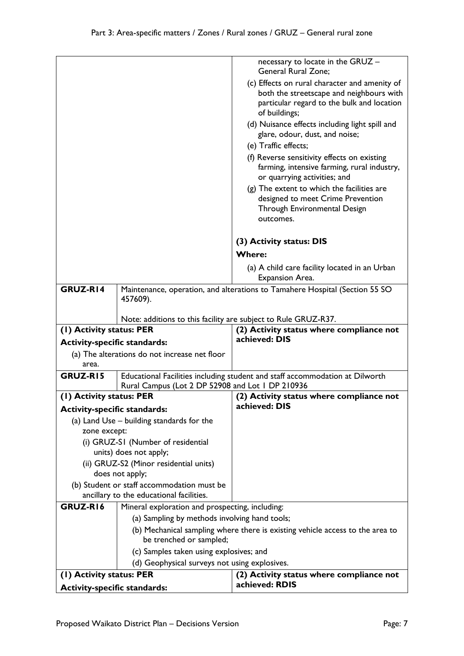|                                                                                            |                                                  | necessary to locate in the GRUZ -<br>General Rural Zone;                                                                     |
|--------------------------------------------------------------------------------------------|--------------------------------------------------|------------------------------------------------------------------------------------------------------------------------------|
|                                                                                            |                                                  | (c) Effects on rural character and amenity of                                                                                |
|                                                                                            |                                                  | both the streetscape and neighbours with                                                                                     |
|                                                                                            |                                                  | particular regard to the bulk and location<br>of buildings;                                                                  |
|                                                                                            |                                                  | (d) Nuisance effects including light spill and<br>glare, odour, dust, and noise;                                             |
|                                                                                            |                                                  | (e) Traffic effects;                                                                                                         |
|                                                                                            |                                                  | (f) Reverse sensitivity effects on existing<br>farming, intensive farming, rural industry,<br>or quarrying activities; and   |
|                                                                                            |                                                  | (g) The extent to which the facilities are<br>designed to meet Crime Prevention<br>Through Environmental Design<br>outcomes. |
|                                                                                            |                                                  | (3) Activity status: DIS<br><b>Where:</b>                                                                                    |
|                                                                                            |                                                  | (a) A child care facility located in an Urban<br>Expansion Area.                                                             |
| GRUZ-R14                                                                                   |                                                  | Maintenance, operation, and alterations to Tamahere Hospital (Section 55 SO                                                  |
|                                                                                            | 457609).                                         |                                                                                                                              |
|                                                                                            |                                                  |                                                                                                                              |
| Note: additions to this facility are subject to Rule GRUZ-R37.<br>(1) Activity status: PER |                                                  |                                                                                                                              |
|                                                                                            |                                                  |                                                                                                                              |
|                                                                                            |                                                  | (2) Activity status where compliance not<br>achieved: DIS                                                                    |
| <b>Activity-specific standards:</b>                                                        |                                                  |                                                                                                                              |
| area.                                                                                      | (a) The alterations do not increase net floor    |                                                                                                                              |
| GRUZ-RI5                                                                                   |                                                  |                                                                                                                              |
|                                                                                            | Rural Campus (Lot 2 DP 52908 and Lot 1 DP 210936 | Educational Facilities including student and staff accommodation at Dilworth                                                 |
| (1) Activity status: PER                                                                   |                                                  | (2) Activity status where compliance not                                                                                     |
| <b>Activity-specific standards:</b>                                                        |                                                  | achieved: DIS                                                                                                                |
|                                                                                            | (a) Land Use - building standards for the        |                                                                                                                              |
| zone except:                                                                               |                                                  |                                                                                                                              |
|                                                                                            | (i) GRUZ-SI (Number of residential               |                                                                                                                              |
|                                                                                            | units) does not apply;                           |                                                                                                                              |
|                                                                                            | (ii) GRUZ-S2 (Minor residential units)           |                                                                                                                              |
|                                                                                            | does not apply;                                  |                                                                                                                              |
|                                                                                            | (b) Student or staff accommodation must be       |                                                                                                                              |
| GRUZ-R16                                                                                   | ancillary to the educational facilities.         |                                                                                                                              |
|                                                                                            | Mineral exploration and prospecting, including:  |                                                                                                                              |
|                                                                                            | (a) Sampling by methods involving hand tools;    |                                                                                                                              |
|                                                                                            | be trenched or sampled;                          | (b) Mechanical sampling where there is existing vehicle access to the area to                                                |
|                                                                                            | (c) Samples taken using explosives; and          |                                                                                                                              |
|                                                                                            | (d) Geophysical surveys not using explosives.    |                                                                                                                              |
| (I) Activity status: PER                                                                   |                                                  | (2) Activity status where compliance not<br>achieved: RDIS                                                                   |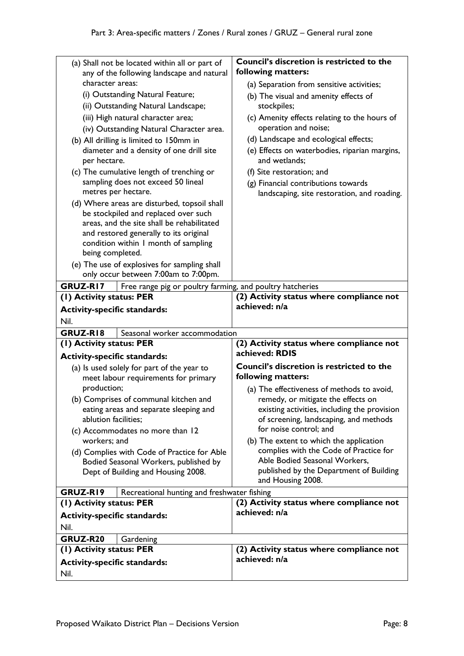| (a) Shall not be located within all or part of<br>any of the following landscape and natural | Council's discretion is restricted to the<br>following matters:                        |
|----------------------------------------------------------------------------------------------|----------------------------------------------------------------------------------------|
| character areas:                                                                             | (a) Separation from sensitive activities;                                              |
| (i) Outstanding Natural Feature;                                                             |                                                                                        |
| (ii) Outstanding Natural Landscape;                                                          | (b) The visual and amenity effects of<br>stockpiles;                                   |
|                                                                                              |                                                                                        |
| (iii) High natural character area;                                                           | (c) Amenity effects relating to the hours of                                           |
| (iv) Outstanding Natural Character area.                                                     | operation and noise;                                                                   |
| (b) All drilling is limited to 150mm in                                                      | (d) Landscape and ecological effects;                                                  |
| diameter and a density of one drill site<br>per hectare.                                     | (e) Effects on waterbodies, riparian margins,<br>and wetlands;                         |
| (c) The cumulative length of trenching or                                                    | (f) Site restoration; and                                                              |
| sampling does not exceed 50 lineal                                                           | (g) Financial contributions towards                                                    |
| metres per hectare.                                                                          | landscaping, site restoration, and roading.                                            |
| (d) Where areas are disturbed, topsoil shall                                                 |                                                                                        |
| be stockpiled and replaced over such                                                         |                                                                                        |
| areas, and the site shall be rehabilitated                                                   |                                                                                        |
| and restored generally to its original                                                       |                                                                                        |
| condition within I month of sampling                                                         |                                                                                        |
| being completed.                                                                             |                                                                                        |
| (e) The use of explosives for sampling shall                                                 |                                                                                        |
| only occur between 7:00am to 7:00pm.                                                         |                                                                                        |
| GRUZ-RI7<br>Free range pig or poultry farming, and poultry hatcheries                        |                                                                                        |
| (1) Activity status: PER                                                                     | (2) Activity status where compliance not                                               |
|                                                                                              | achieved: n/a                                                                          |
|                                                                                              |                                                                                        |
| <b>Activity-specific standards:</b>                                                          |                                                                                        |
| Nil.                                                                                         |                                                                                        |
| GRUZ-RI8<br>Seasonal worker accommodation                                                    |                                                                                        |
| (1) Activity status: PER<br><b>Activity-specific standards:</b>                              | (2) Activity status where compliance not<br>achieved: RDIS                             |
|                                                                                              | <b>Council's discretion is restricted to the</b>                                       |
| (a) Is used solely for part of the year to                                                   | following matters:                                                                     |
| meet labour requirements for primary<br>production;                                          |                                                                                        |
|                                                                                              | (a) The effectiveness of methods to avoid,                                             |
| (b) Comprises of communal kitchen and                                                        | remedy, or mitigate the effects on                                                     |
| eating areas and separate sleeping and<br>ablution facilities;                               | existing activities, including the provision<br>of screening, landscaping, and methods |
| (c) Accommodates no more than 12                                                             | for noise control; and                                                                 |
| workers; and                                                                                 | (b) The extent to which the application                                                |
|                                                                                              | complies with the Code of Practice for                                                 |
| (d) Complies with Code of Practice for Able<br>Bodied Seasonal Workers, published by         | Able Bodied Seasonal Workers,                                                          |
| Dept of Building and Housing 2008.                                                           | published by the Department of Building                                                |
|                                                                                              | and Housing 2008.                                                                      |
| GRUZ-RI9<br>Recreational hunting and freshwater fishing                                      |                                                                                        |
| (1) Activity status: PER                                                                     | (2) Activity status where compliance not                                               |
|                                                                                              | achieved: n/a                                                                          |
| <b>Activity-specific standards:</b>                                                          |                                                                                        |
| Nil.                                                                                         |                                                                                        |
| GRUZ-R20<br>Gardening                                                                        |                                                                                        |
| (1) Activity status: PER                                                                     | (2) Activity status where compliance not                                               |
| <b>Activity-specific standards:</b><br>Nil.                                                  | achieved: n/a                                                                          |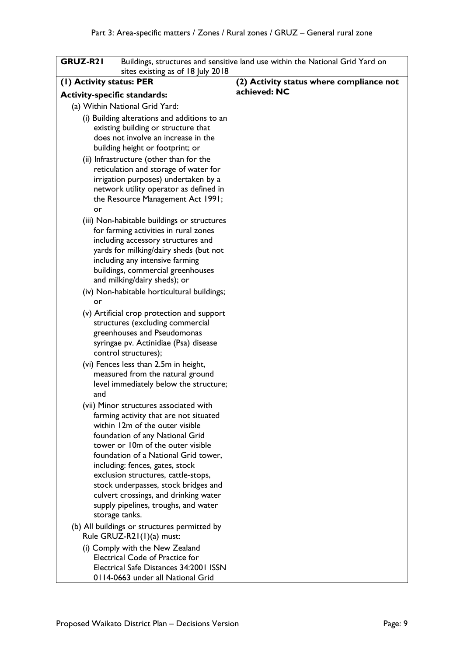| GRUZ-R21                            | sites existing as of 18 July 2018                                             | Buildings, structures and sensitive land use within the National Grid Yard on |
|-------------------------------------|-------------------------------------------------------------------------------|-------------------------------------------------------------------------------|
| (1) Activity status: PER            |                                                                               | (2) Activity status where compliance not                                      |
| <b>Activity-specific standards:</b> |                                                                               | achieved: NC                                                                  |
|                                     | (a) Within National Grid Yard:                                                |                                                                               |
|                                     | (i) Building alterations and additions to an                                  |                                                                               |
|                                     | existing building or structure that                                           |                                                                               |
|                                     | does not involve an increase in the                                           |                                                                               |
|                                     | building height or footprint; or                                              |                                                                               |
|                                     | (ii) Infrastructure (other than for the                                       |                                                                               |
|                                     | reticulation and storage of water for                                         |                                                                               |
|                                     | irrigation purposes) undertaken by a                                          |                                                                               |
|                                     | network utility operator as defined in                                        |                                                                               |
|                                     | the Resource Management Act 1991;                                             |                                                                               |
| or                                  |                                                                               |                                                                               |
|                                     | (iii) Non-habitable buildings or structures                                   |                                                                               |
|                                     | for farming activities in rural zones<br>including accessory structures and   |                                                                               |
|                                     | yards for milking/dairy sheds (but not                                        |                                                                               |
|                                     | including any intensive farming                                               |                                                                               |
|                                     | buildings, commercial greenhouses                                             |                                                                               |
|                                     | and milking/dairy sheds); or                                                  |                                                                               |
|                                     | (iv) Non-habitable horticultural buildings;                                   |                                                                               |
| or                                  |                                                                               |                                                                               |
|                                     | (v) Artificial crop protection and support                                    |                                                                               |
|                                     | structures (excluding commercial                                              |                                                                               |
|                                     | greenhouses and Pseudomonas                                                   |                                                                               |
|                                     | syringae pv. Actinidiae (Psa) disease                                         |                                                                               |
|                                     | control structures);                                                          |                                                                               |
|                                     | (vi) Fences less than 2.5m in height,                                         |                                                                               |
|                                     | measured from the natural ground<br>level immediately below the structure;    |                                                                               |
| and                                 |                                                                               |                                                                               |
|                                     | (vii) Minor structures associated with                                        |                                                                               |
|                                     | farming activity that are not situated                                        |                                                                               |
|                                     | within 12m of the outer visible                                               |                                                                               |
|                                     | foundation of any National Grid                                               |                                                                               |
|                                     | tower or 10m of the outer visible                                             |                                                                               |
|                                     | foundation of a National Grid tower,                                          |                                                                               |
|                                     | including: fences, gates, stock                                               |                                                                               |
|                                     | exclusion structures, cattle-stops,                                           |                                                                               |
|                                     | stock underpasses, stock bridges and<br>culvert crossings, and drinking water |                                                                               |
|                                     | supply pipelines, troughs, and water                                          |                                                                               |
|                                     | storage tanks.                                                                |                                                                               |
|                                     | (b) All buildings or structures permitted by                                  |                                                                               |
|                                     | Rule GRUZ-R21(1)(a) must:                                                     |                                                                               |
|                                     | (i) Comply with the New Zealand                                               |                                                                               |
|                                     | <b>Electrical Code of Practice for</b>                                        |                                                                               |
|                                     | Electrical Safe Distances 34:2001 ISSN                                        |                                                                               |
|                                     | 0114-0663 under all National Grid                                             |                                                                               |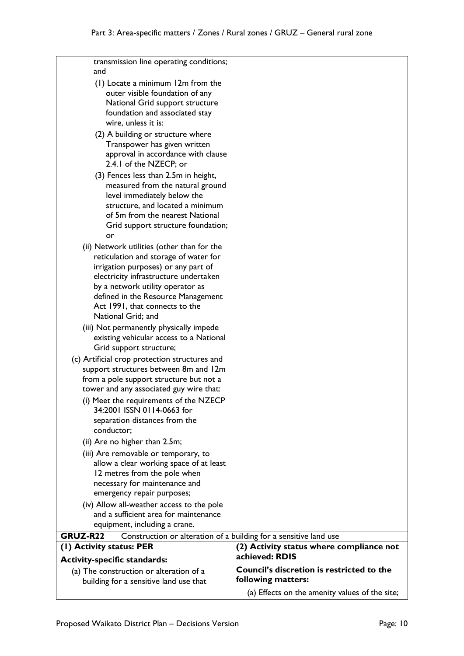| transmission line operating conditions;<br>and                                      |                                                            |
|-------------------------------------------------------------------------------------|------------------------------------------------------------|
| (1) Locate a minimum 12m from the                                                   |                                                            |
| outer visible foundation of any                                                     |                                                            |
| National Grid support structure                                                     |                                                            |
| foundation and associated stay<br>wire, unless it is:                               |                                                            |
| (2) A building or structure where                                                   |                                                            |
| Transpower has given written                                                        |                                                            |
| approval in accordance with clause<br>2.4.1 of the NZECP; or                        |                                                            |
| (3) Fences less than 2.5m in height,                                                |                                                            |
| measured from the natural ground                                                    |                                                            |
| level immediately below the<br>structure, and located a minimum                     |                                                            |
| of 5m from the nearest National                                                     |                                                            |
| Grid support structure foundation;                                                  |                                                            |
| or                                                                                  |                                                            |
| (ii) Network utilities (other than for the<br>reticulation and storage of water for |                                                            |
| irrigation purposes) or any part of                                                 |                                                            |
| electricity infrastructure undertaken                                               |                                                            |
| by a network utility operator as<br>defined in the Resource Management              |                                                            |
| Act 1991, that connects to the                                                      |                                                            |
| National Grid; and                                                                  |                                                            |
| (iii) Not permanently physically impede                                             |                                                            |
| existing vehicular access to a National<br>Grid support structure;                  |                                                            |
| (c) Artificial crop protection structures and                                       |                                                            |
| support structures between 8m and 12m                                               |                                                            |
| from a pole support structure but not a                                             |                                                            |
| tower and any associated guy wire that:<br>(i) Meet the requirements of the NZECP   |                                                            |
| 34:2001 ISSN 0114-0663 for                                                          |                                                            |
| separation distances from the                                                       |                                                            |
| conductor;                                                                          |                                                            |
| (ii) Are no higher than 2.5m;<br>(iii) Are removable or temporary, to               |                                                            |
| allow a clear working space of at least                                             |                                                            |
| 12 metres from the pole when                                                        |                                                            |
| necessary for maintenance and                                                       |                                                            |
| emergency repair purposes;<br>(iv) Allow all-weather access to the pole             |                                                            |
| and a sufficient area for maintenance                                               |                                                            |
| equipment, including a crane.                                                       |                                                            |
| GRUZ-R22<br>Construction or alteration of a building for a sensitive land use       |                                                            |
| (I) Activity status: PER                                                            | (2) Activity status where compliance not<br>achieved: RDIS |
| <b>Activity-specific standards:</b>                                                 | Council's discretion is restricted to the                  |
| (a) The construction or alteration of a<br>building for a sensitive land use that   | following matters:                                         |
|                                                                                     | (a) Effects on the amenity values of the site;             |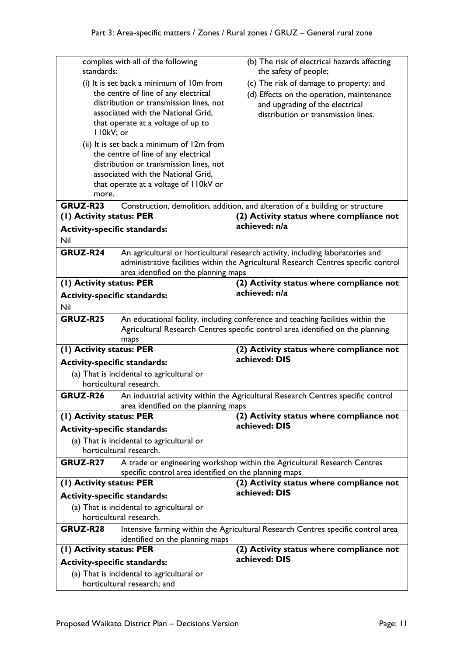| standards:                              | complies with all of the following                                       | (b) The risk of electrical hazards affecting<br>the safety of people;               |
|-----------------------------------------|--------------------------------------------------------------------------|-------------------------------------------------------------------------------------|
|                                         | (i) It is set back a minimum of 10m from                                 | (c) The risk of damage to property; and                                             |
| the centre of line of any electrical    |                                                                          | (d) Effects on the operation, maintenance                                           |
| distribution or transmission lines, not |                                                                          | and upgrading of the electrical                                                     |
|                                         | associated with the National Grid,                                       | distribution or transmission lines.                                                 |
|                                         | that operate at a voltage of up to                                       |                                                                                     |
| II0kV; or                               |                                                                          |                                                                                     |
|                                         | (ii) It is set back a minimum of 12m from                                |                                                                                     |
|                                         | the centre of line of any electrical                                     |                                                                                     |
|                                         | distribution or transmission lines, not                                  |                                                                                     |
|                                         | associated with the National Grid,                                       |                                                                                     |
|                                         | that operate at a voltage of II0kV or                                    |                                                                                     |
| more.                                   |                                                                          |                                                                                     |
| GRUZ-R23                                |                                                                          | Construction, demolition, addition, and alteration of a building or structure       |
| (1) Activity status: PER                |                                                                          | (2) Activity status where compliance not                                            |
| <b>Activity-specific standards:</b>     |                                                                          | achieved: n/a                                                                       |
| Nil                                     |                                                                          |                                                                                     |
| GRUZ-R24                                |                                                                          | An agricultural or horticultural research activity, including laboratories and      |
|                                         |                                                                          | administrative facilities within the Agricultural Research Centres specific control |
|                                         | area identified on the planning maps                                     |                                                                                     |
| (1) Activity status: PER                |                                                                          | (2) Activity status where compliance not                                            |
| <b>Activity-specific standards:</b>     |                                                                          | achieved: n/a                                                                       |
| Nil                                     |                                                                          |                                                                                     |
| GRUZ-R25                                |                                                                          | An educational facility, including conference and teaching facilities within the    |
|                                         |                                                                          |                                                                                     |
|                                         |                                                                          |                                                                                     |
|                                         | maps                                                                     | Agricultural Research Centres specific control area identified on the planning      |
| (I) Activity status: PER                |                                                                          | (2) Activity status where compliance not                                            |
| <b>Activity-specific standards:</b>     |                                                                          | achieved: DIS                                                                       |
|                                         | (a) That is incidental to agricultural or                                |                                                                                     |
|                                         | horticultural research.                                                  |                                                                                     |
| GRUZ-R26                                |                                                                          |                                                                                     |
|                                         |                                                                          | An industrial activity within the Agricultural Research Centres specific control    |
| (1) Activity status: PER                | area identified on the planning maps                                     | (2) Activity status where compliance not                                            |
|                                         |                                                                          | achieved: DIS                                                                       |
| <b>Activity-specific standards:</b>     |                                                                          |                                                                                     |
|                                         | (a) That is incidental to agricultural or<br>horticultural research.     |                                                                                     |
|                                         |                                                                          |                                                                                     |
| GRUZ-R27                                |                                                                          | A trade or engineering workshop within the Agricultural Research Centres            |
|                                         | specific control area identified on the planning maps                    | (2) Activity status where compliance not                                            |
| (1) Activity status: PER                |                                                                          | achieved: DIS                                                                       |
| <b>Activity-specific standards:</b>     |                                                                          |                                                                                     |
|                                         | (a) That is incidental to agricultural or<br>horticultural research.     |                                                                                     |
|                                         |                                                                          |                                                                                     |
| GRUZ-R28                                | identified on the planning maps                                          | Intensive farming within the Agricultural Research Centres specific control area    |
| (1) Activity status: PER                |                                                                          | (2) Activity status where compliance not                                            |
| <b>Activity-specific standards:</b>     |                                                                          | achieved: DIS                                                                       |
|                                         | (a) That is incidental to agricultural or<br>horticultural research; and |                                                                                     |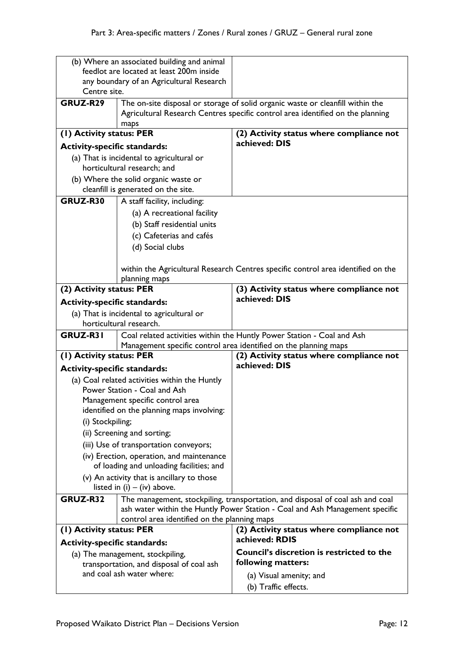| (b) Where an associated building and animal |                                                                          |                                                                                                                                                                |
|---------------------------------------------|--------------------------------------------------------------------------|----------------------------------------------------------------------------------------------------------------------------------------------------------------|
| feedlot are located at least 200m inside    |                                                                          |                                                                                                                                                                |
| any boundary of an Agricultural Research    |                                                                          |                                                                                                                                                                |
| Centre site.                                |                                                                          |                                                                                                                                                                |
| GRUZ-R29                                    |                                                                          | The on-site disposal or storage of solid organic waste or cleanfill within the                                                                                 |
|                                             | maps                                                                     | Agricultural Research Centres specific control area identified on the planning                                                                                 |
| (1) Activity status: PER                    |                                                                          | (2) Activity status where compliance not                                                                                                                       |
| <b>Activity-specific standards:</b>         |                                                                          | achieved: DIS                                                                                                                                                  |
|                                             |                                                                          |                                                                                                                                                                |
|                                             | (a) That is incidental to agricultural or<br>horticultural research; and |                                                                                                                                                                |
|                                             | (b) Where the solid organic waste or                                     |                                                                                                                                                                |
|                                             | cleanfill is generated on the site.                                      |                                                                                                                                                                |
| GRUZ-R30                                    | A staff facility, including:                                             |                                                                                                                                                                |
|                                             | (a) A recreational facility                                              |                                                                                                                                                                |
|                                             | (b) Staff residential units                                              |                                                                                                                                                                |
|                                             | (c) Cafeterias and cafés                                                 |                                                                                                                                                                |
|                                             |                                                                          |                                                                                                                                                                |
|                                             | (d) Social clubs                                                         |                                                                                                                                                                |
|                                             |                                                                          | within the Agricultural Research Centres specific control area identified on the                                                                               |
|                                             | planning maps                                                            |                                                                                                                                                                |
| (2) Activity status: PER                    |                                                                          | (3) Activity status where compliance not                                                                                                                       |
| <b>Activity-specific standards:</b>         |                                                                          | achieved: DIS                                                                                                                                                  |
|                                             | (a) That is incidental to agricultural or                                |                                                                                                                                                                |
|                                             | horticultural research.                                                  |                                                                                                                                                                |
| GRUZ-R31                                    |                                                                          | Coal related activities within the Huntly Power Station - Coal and Ash                                                                                         |
|                                             |                                                                          | Management specific control area identified on the planning maps                                                                                               |
| (1) Activity status: PER                    |                                                                          | (2) Activity status where compliance not                                                                                                                       |
| <b>Activity-specific standards:</b>         |                                                                          | achieved: DIS                                                                                                                                                  |
|                                             | (a) Coal related activities within the Huntly                            |                                                                                                                                                                |
|                                             | Power Station - Coal and Ash                                             |                                                                                                                                                                |
|                                             | Management specific control area                                         |                                                                                                                                                                |
|                                             | identified on the planning maps involving:                               |                                                                                                                                                                |
| (i) Stockpiling;                            |                                                                          |                                                                                                                                                                |
|                                             | (ii) Screening and sorting;                                              |                                                                                                                                                                |
| (iii) Use of transportation conveyors;      |                                                                          |                                                                                                                                                                |
| (iv) Erection, operation, and maintenance   |                                                                          |                                                                                                                                                                |
| of loading and unloading facilities; and    |                                                                          |                                                                                                                                                                |
| (v) An activity that is ancillary to those  |                                                                          |                                                                                                                                                                |
|                                             | listed in $(i) - (iv)$ above.                                            |                                                                                                                                                                |
| GRUZ-R32                                    |                                                                          | The management, stockpiling, transportation, and disposal of coal ash and coal<br>ash water within the Huntly Power Station - Coal and Ash Management specific |
|                                             | control area identified on the planning maps                             |                                                                                                                                                                |
| (1) Activity status: PER                    |                                                                          | (2) Activity status where compliance not                                                                                                                       |
| <b>Activity-specific standards:</b>         |                                                                          | achieved: RDIS                                                                                                                                                 |
|                                             | (a) The management, stockpiling,                                         | Council's discretion is restricted to the                                                                                                                      |
|                                             | transportation, and disposal of coal ash                                 | following matters:                                                                                                                                             |
|                                             | and coal ash water where:                                                | (a) Visual amenity; and                                                                                                                                        |
|                                             |                                                                          | (b) Traffic effects.                                                                                                                                           |
|                                             |                                                                          |                                                                                                                                                                |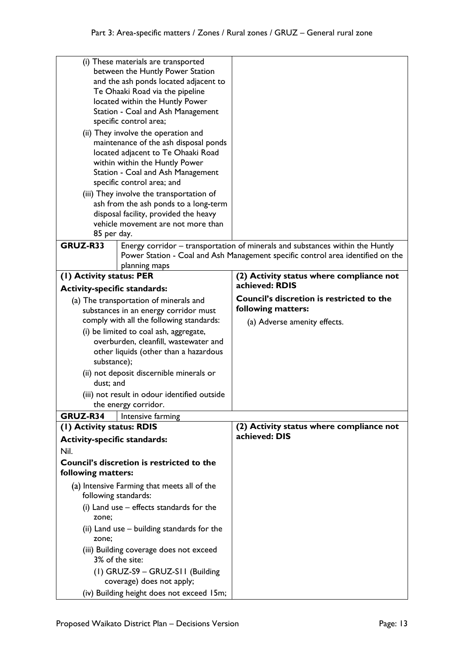|                                                                      | (i) These materials are transported<br>between the Huntly Power Station |                                                                                 |
|----------------------------------------------------------------------|-------------------------------------------------------------------------|---------------------------------------------------------------------------------|
|                                                                      |                                                                         |                                                                                 |
|                                                                      | and the ash ponds located adjacent to                                   |                                                                                 |
| Te Ohaaki Road via the pipeline<br>located within the Huntly Power   |                                                                         |                                                                                 |
| Station - Coal and Ash Management                                    |                                                                         |                                                                                 |
| specific control area;                                               |                                                                         |                                                                                 |
|                                                                      |                                                                         |                                                                                 |
| (ii) They involve the operation and                                  |                                                                         |                                                                                 |
| maintenance of the ash disposal ponds                                |                                                                         |                                                                                 |
| located adjacent to Te Ohaaki Road<br>within within the Huntly Power |                                                                         |                                                                                 |
|                                                                      | Station - Coal and Ash Management                                       |                                                                                 |
|                                                                      | specific control area; and                                              |                                                                                 |
|                                                                      | (iii) They involve the transportation of                                |                                                                                 |
|                                                                      | ash from the ash ponds to a long-term                                   |                                                                                 |
|                                                                      | disposal facility, provided the heavy                                   |                                                                                 |
|                                                                      | vehicle movement are not more than                                      |                                                                                 |
| 85 per day.                                                          |                                                                         |                                                                                 |
| GRUZ-R33                                                             |                                                                         | Energy corridor – transportation of minerals and substances within the Huntly   |
|                                                                      |                                                                         | Power Station - Coal and Ash Management specific control area identified on the |
|                                                                      | planning maps                                                           |                                                                                 |
| (I) Activity status: PER                                             |                                                                         | (2) Activity status where compliance not                                        |
| <b>Activity-specific standards:</b>                                  |                                                                         | achieved: RDIS                                                                  |
|                                                                      | (a) The transportation of minerals and                                  | <b>Council's discretion is restricted to the</b>                                |
|                                                                      | substances in an energy corridor must                                   | following matters:                                                              |
|                                                                      | comply with all the following standards:                                | (a) Adverse amenity effects.                                                    |
|                                                                      | (i) be limited to coal ash, aggregate,                                  |                                                                                 |
|                                                                      | overburden, cleanfill, wastewater and                                   |                                                                                 |
|                                                                      | other liquids (other than a hazardous                                   |                                                                                 |
| substance);                                                          |                                                                         |                                                                                 |
| dust: and                                                            | (ii) not deposit discernible minerals or                                |                                                                                 |
| (iii) not result in odour identified outside                         |                                                                         |                                                                                 |
| the energy corridor.                                                 |                                                                         |                                                                                 |
| GRUZ-R34                                                             | Intensive farming                                                       |                                                                                 |
| (1) Activity status: RDIS                                            |                                                                         | (2) Activity status where compliance not                                        |
| <b>Activity-specific standards:</b>                                  |                                                                         | achieved: DIS                                                                   |
| Nil.                                                                 |                                                                         |                                                                                 |
| following matters:                                                   | Council's discretion is restricted to the                               |                                                                                 |
|                                                                      | (a) Intensive Farming that meets all of the<br>following standards:     |                                                                                 |
| zone;                                                                | (i) Land use - effects standards for the                                |                                                                                 |
| zone;                                                                |                                                                         |                                                                                 |
|                                                                      | (ii) Land use – building standards for the                              |                                                                                 |
|                                                                      |                                                                         |                                                                                 |
|                                                                      | (iii) Building coverage does not exceed<br>3% of the site:              |                                                                                 |
|                                                                      |                                                                         |                                                                                 |
|                                                                      | (1) GRUZ-S9 - GRUZ-S11 (Building<br>coverage) does not apply;           |                                                                                 |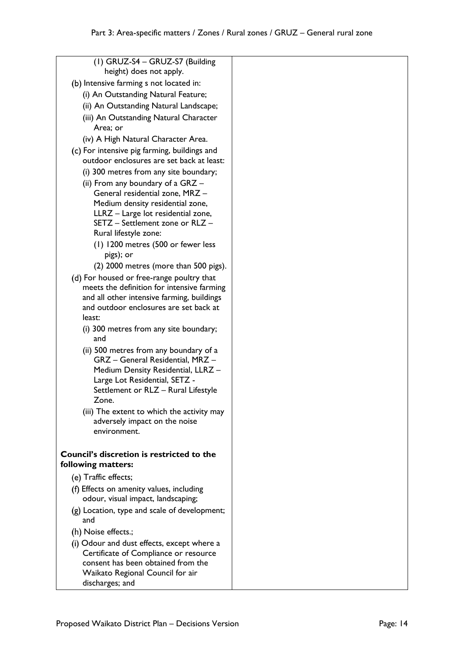| (1) GRUZ-S4 - GRUZ-S7 (Building<br>height) does not apply. |  |
|------------------------------------------------------------|--|
| (b) Intensive farming s not located in:                    |  |
| (i) An Outstanding Natural Feature;                        |  |
| (ii) An Outstanding Natural Landscape;                     |  |
| (iii) An Outstanding Natural Character                     |  |
| Area; or                                                   |  |
| (iv) A High Natural Character Area.                        |  |
| (c) For intensive pig farming, buildings and               |  |
| outdoor enclosures are set back at least:                  |  |
| (i) 300 metres from any site boundary;                     |  |
| (ii) From any boundary of a $GRZ -$                        |  |
| General residential zone, MRZ -                            |  |
| Medium density residential zone,                           |  |
| LLRZ - Large lot residential zone,                         |  |
| SETZ - Settlement zone or RLZ -<br>Rural lifestyle zone:   |  |
| (1) 1200 metres (500 or fewer less                         |  |
| pigs); or                                                  |  |
| (2) 2000 metres (more than 500 pigs).                      |  |
| (d) For housed or free-range poultry that                  |  |
| meets the definition for intensive farming                 |  |
| and all other intensive farming, buildings                 |  |
| and outdoor enclosures are set back at                     |  |
| least:                                                     |  |
| (i) 300 metres from any site boundary;<br>and              |  |
| (ii) 500 metres from any boundary of a                     |  |
| GRZ - General Residential, MRZ -                           |  |
| Medium Density Residential, LLRZ -                         |  |
| Large Lot Residential, SETZ -                              |  |
| Settlement or RLZ - Rural Lifestyle                        |  |
| Zone.                                                      |  |
| (iii) The extent to which the activity may                 |  |
| adversely impact on the noise<br>environment.              |  |
|                                                            |  |
| <b>Council's discretion is restricted to the</b>           |  |
| following matters:                                         |  |
| (e) Traffic effects;                                       |  |
| (f) Effects on amenity values, including                   |  |
| odour, visual impact, landscaping;                         |  |
| (g) Location, type and scale of development;<br>and        |  |
| (h) Noise effects.;                                        |  |
| (i) Odour and dust effects, except where a                 |  |
| Certificate of Compliance or resource                      |  |
| consent has been obtained from the                         |  |
| Waikato Regional Council for air                           |  |
| discharges; and                                            |  |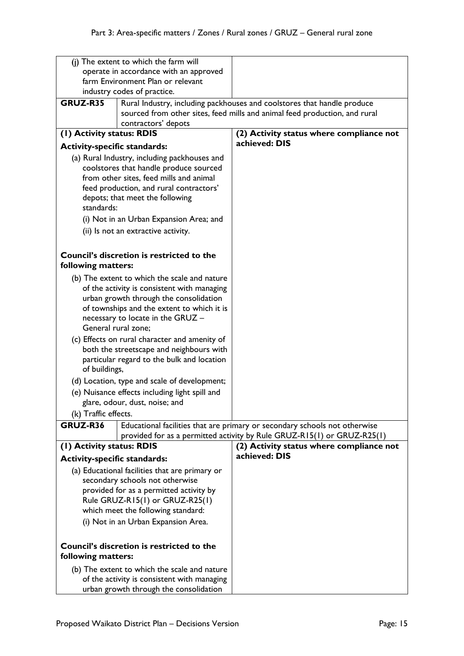|                                                                                                                                                                                                                 | (j) The extent to which the farm will                                                     |                                                                                                                                                       |
|-----------------------------------------------------------------------------------------------------------------------------------------------------------------------------------------------------------------|-------------------------------------------------------------------------------------------|-------------------------------------------------------------------------------------------------------------------------------------------------------|
| operate in accordance with an approved                                                                                                                                                                          |                                                                                           |                                                                                                                                                       |
| farm Environment Plan or relevant<br>industry codes of practice.                                                                                                                                                |                                                                                           |                                                                                                                                                       |
|                                                                                                                                                                                                                 |                                                                                           |                                                                                                                                                       |
| GRUZ-R35                                                                                                                                                                                                        |                                                                                           | Rural Industry, including packhouses and coolstores that handle produce<br>sourced from other sites, feed mills and animal feed production, and rural |
| (I) Activity status: RDIS                                                                                                                                                                                       | contractors' depots                                                                       | (2) Activity status where compliance not                                                                                                              |
|                                                                                                                                                                                                                 |                                                                                           | achieved: DIS                                                                                                                                         |
| <b>Activity-specific standards:</b>                                                                                                                                                                             |                                                                                           |                                                                                                                                                       |
| (a) Rural Industry, including packhouses and<br>coolstores that handle produce sourced<br>from other sites, feed mills and animal<br>feed production, and rural contractors'<br>depots; that meet the following |                                                                                           |                                                                                                                                                       |
| standards:                                                                                                                                                                                                      | (i) Not in an Urban Expansion Area; and                                                   |                                                                                                                                                       |
|                                                                                                                                                                                                                 | (ii) Is not an extractive activity.                                                       |                                                                                                                                                       |
|                                                                                                                                                                                                                 |                                                                                           |                                                                                                                                                       |
| Council's discretion is restricted to the<br>following matters:                                                                                                                                                 |                                                                                           |                                                                                                                                                       |
|                                                                                                                                                                                                                 | (b) The extent to which the scale and nature                                              |                                                                                                                                                       |
|                                                                                                                                                                                                                 | of the activity is consistent with managing                                               |                                                                                                                                                       |
|                                                                                                                                                                                                                 | urban growth through the consolidation                                                    |                                                                                                                                                       |
|                                                                                                                                                                                                                 | of townships and the extent to which it is                                                |                                                                                                                                                       |
|                                                                                                                                                                                                                 | necessary to locate in the GRUZ -<br>General rural zone;                                  |                                                                                                                                                       |
|                                                                                                                                                                                                                 |                                                                                           |                                                                                                                                                       |
|                                                                                                                                                                                                                 | (c) Effects on rural character and amenity of<br>both the streetscape and neighbours with |                                                                                                                                                       |
|                                                                                                                                                                                                                 | particular regard to the bulk and location                                                |                                                                                                                                                       |
| of buildings,                                                                                                                                                                                                   |                                                                                           |                                                                                                                                                       |
|                                                                                                                                                                                                                 | (d) Location, type and scale of development;                                              |                                                                                                                                                       |
|                                                                                                                                                                                                                 | (e) Nuisance effects including light spill and                                            |                                                                                                                                                       |
|                                                                                                                                                                                                                 | glare, odour, dust, noise; and                                                            |                                                                                                                                                       |
| (k) Traffic effects.                                                                                                                                                                                            |                                                                                           |                                                                                                                                                       |
| GRUZ-R36                                                                                                                                                                                                        |                                                                                           | Educational facilities that are primary or secondary schools not otherwise                                                                            |
|                                                                                                                                                                                                                 |                                                                                           | provided for as a permitted activity by Rule GRUZ-R15(1) or GRUZ-R25(1)                                                                               |
| (1) Activity status: RDIS                                                                                                                                                                                       |                                                                                           | (2) Activity status where compliance not                                                                                                              |
| <b>Activity-specific standards:</b>                                                                                                                                                                             |                                                                                           | achieved: DIS                                                                                                                                         |
|                                                                                                                                                                                                                 | (a) Educational facilities that are primary or                                            |                                                                                                                                                       |
|                                                                                                                                                                                                                 | secondary schools not otherwise                                                           |                                                                                                                                                       |
| provided for as a permitted activity by                                                                                                                                                                         |                                                                                           |                                                                                                                                                       |
| Rule GRUZ-R15(1) or GRUZ-R25(1)                                                                                                                                                                                 |                                                                                           |                                                                                                                                                       |
| which meet the following standard:                                                                                                                                                                              |                                                                                           |                                                                                                                                                       |
|                                                                                                                                                                                                                 | (i) Not in an Urban Expansion Area.                                                       |                                                                                                                                                       |
| following matters:                                                                                                                                                                                              | Council's discretion is restricted to the                                                 |                                                                                                                                                       |
|                                                                                                                                                                                                                 | (b) The extent to which the scale and nature                                              |                                                                                                                                                       |
|                                                                                                                                                                                                                 | of the activity is consistent with managing<br>urban growth through the consolidation     |                                                                                                                                                       |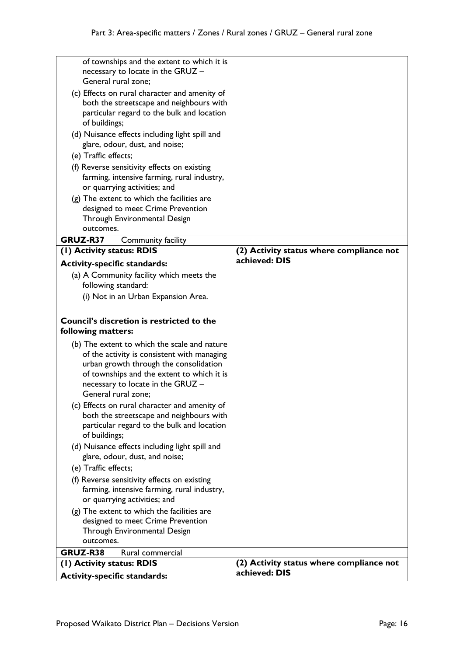| of townships and the extent to which it is<br>necessary to locate in the GRUZ - |  |
|---------------------------------------------------------------------------------|--|
| General rural zone;                                                             |  |
| (c) Effects on rural character and amenity of                                   |  |
| both the streetscape and neighbours with                                        |  |
| particular regard to the bulk and location                                      |  |
| of buildings;                                                                   |  |
| (d) Nuisance effects including light spill and                                  |  |
| glare, odour, dust, and noise;                                                  |  |
| (e) Traffic effects;                                                            |  |
| (f) Reverse sensitivity effects on existing                                     |  |
| farming, intensive farming, rural industry,                                     |  |
| or quarrying activities; and                                                    |  |
| $(g)$ The extent to which the facilities are                                    |  |
| designed to meet Crime Prevention                                               |  |
| Through Environmental Design                                                    |  |
| outcomes.                                                                       |  |
| GRUZ-R37<br>Community facility                                                  |  |
| (1) Activity status: RDIS<br>(2) Activity status where compliance not           |  |
| achieved: DIS<br><b>Activity-specific standards:</b>                            |  |
| (a) A Community facility which meets the                                        |  |
| following standard:                                                             |  |
| (i) Not in an Urban Expansion Area.                                             |  |
|                                                                                 |  |
| Council's discretion is restricted to the                                       |  |
| following matters:                                                              |  |
| (b) The extent to which the scale and nature                                    |  |
| of the activity is consistent with managing                                     |  |
| urban growth through the consolidation                                          |  |
| of townships and the extent to which it is                                      |  |
| necessary to locate in the GRUZ -                                               |  |
| General rural zone;                                                             |  |
| (c) Effects on rural character and amenity of                                   |  |
| both the streetscape and neighbours with                                        |  |
| particular regard to the bulk and location                                      |  |
| of buildings;                                                                   |  |
| (d) Nuisance effects including light spill and                                  |  |
| glare, odour, dust, and noise;                                                  |  |
| (e) Traffic effects;                                                            |  |
| (f) Reverse sensitivity effects on existing                                     |  |
| farming, intensive farming, rural industry,                                     |  |
| or quarrying activities; and                                                    |  |
| $(g)$ The extent to which the facilities are                                    |  |
| designed to meet Crime Prevention<br>Through Environmental Design               |  |
| outcomes.                                                                       |  |
| GRUZ-R38<br>Rural commercial                                                    |  |
| (2) Activity status where compliance not<br>(I) Activity status: RDIS           |  |
| achieved: DIS<br><b>Activity-specific standards:</b>                            |  |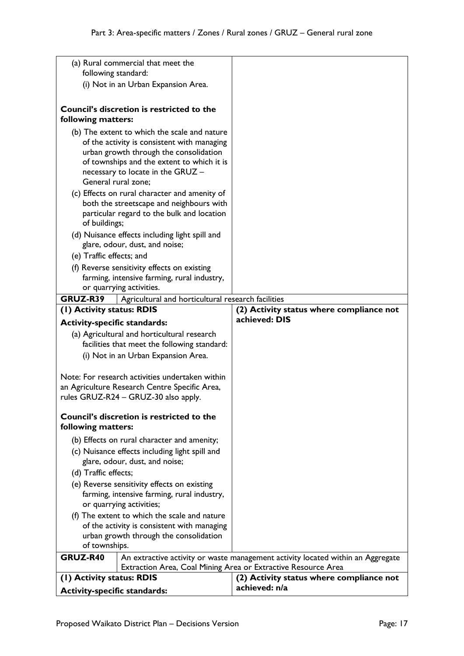| <b>Activity-specific standards:</b>                              |                                                                                                                                                                                                                                                                                                                                                                                                                                                        | achieved: n/a                                                                   |  |
|------------------------------------------------------------------|--------------------------------------------------------------------------------------------------------------------------------------------------------------------------------------------------------------------------------------------------------------------------------------------------------------------------------------------------------------------------------------------------------------------------------------------------------|---------------------------------------------------------------------------------|--|
| (I) Activity status: RDIS                                        |                                                                                                                                                                                                                                                                                                                                                                                                                                                        | (2) Activity status where compliance not                                        |  |
|                                                                  | Extraction Area, Coal Mining Area or Extractive Resource Area                                                                                                                                                                                                                                                                                                                                                                                          |                                                                                 |  |
| <b>GRUZ-R40</b>                                                  |                                                                                                                                                                                                                                                                                                                                                                                                                                                        | An extractive activity or waste management activity located within an Aggregate |  |
| following matters:<br>(d) Traffic effects;<br>of townships.      | <b>Council's discretion is restricted to the</b><br>(b) Effects on rural character and amenity;<br>(c) Nuisance effects including light spill and<br>glare, odour, dust, and noise;<br>(e) Reverse sensitivity effects on existing<br>farming, intensive farming, rural industry,<br>or quarrying activities;<br>(f) The extent to which the scale and nature<br>of the activity is consistent with managing<br>urban growth through the consolidation |                                                                                 |  |
|                                                                  | Note: For research activities undertaken within<br>an Agriculture Research Centre Specific Area,<br>rules GRUZ-R24 - GRUZ-30 also apply.                                                                                                                                                                                                                                                                                                               |                                                                                 |  |
|                                                                  | (a) Agricultural and horticultural research<br>facilities that meet the following standard:<br>(i) Not in an Urban Expansion Area.                                                                                                                                                                                                                                                                                                                     |                                                                                 |  |
| (1) Activity status: RDIS<br><b>Activity-specific standards:</b> |                                                                                                                                                                                                                                                                                                                                                                                                                                                        | (2) Activity status where compliance not<br>achieved: DIS                       |  |
| GRUZ-R39                                                         | Agricultural and horticultural research facilities                                                                                                                                                                                                                                                                                                                                                                                                     |                                                                                 |  |
|                                                                  | farming, intensive farming, rural industry,<br>or quarrying activities.                                                                                                                                                                                                                                                                                                                                                                                |                                                                                 |  |
|                                                                  | (f) Reverse sensitivity effects on existing                                                                                                                                                                                                                                                                                                                                                                                                            |                                                                                 |  |
| (e) Traffic effects; and                                         |                                                                                                                                                                                                                                                                                                                                                                                                                                                        |                                                                                 |  |
|                                                                  | (d) Nuisance effects including light spill and<br>glare, odour, dust, and noise;                                                                                                                                                                                                                                                                                                                                                                       |                                                                                 |  |
| of buildings;                                                    | (c) Effects on rural character and amenity of<br>both the streetscape and neighbours with<br>particular regard to the bulk and location                                                                                                                                                                                                                                                                                                                |                                                                                 |  |
| General rural zone;                                              | (b) The extent to which the scale and nature<br>of the activity is consistent with managing<br>urban growth through the consolidation<br>of townships and the extent to which it is<br>necessary to locate in the GRUZ -                                                                                                                                                                                                                               |                                                                                 |  |
| following matters:                                               | <b>Council's discretion is restricted to the</b>                                                                                                                                                                                                                                                                                                                                                                                                       |                                                                                 |  |
|                                                                  | (i) Not in an Urban Expansion Area.                                                                                                                                                                                                                                                                                                                                                                                                                    |                                                                                 |  |
| following standard:                                              | (a) Rural commercial that meet the                                                                                                                                                                                                                                                                                                                                                                                                                     |                                                                                 |  |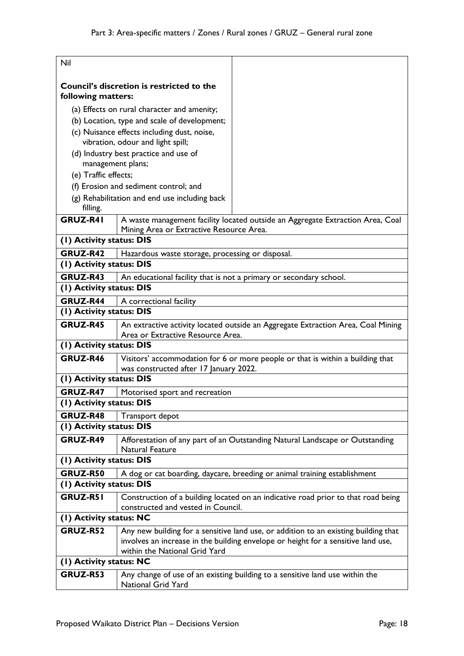| Nil                      |                                                                                                 |                                                                                     |
|--------------------------|-------------------------------------------------------------------------------------------------|-------------------------------------------------------------------------------------|
| following matters:       | Council's discretion is restricted to the                                                       |                                                                                     |
|                          | (a) Effects on rural character and amenity;                                                     |                                                                                     |
|                          | (b) Location, type and scale of development;                                                    |                                                                                     |
|                          | (c) Nuisance effects including dust, noise,<br>vibration, odour and light spill;                |                                                                                     |
| management plans;        | (d) Industry best practice and use of                                                           |                                                                                     |
| (e) Traffic effects;     |                                                                                                 |                                                                                     |
|                          | (f) Erosion and sediment control; and                                                           |                                                                                     |
| filling.                 | (g) Rehabilitation and end use including back                                                   |                                                                                     |
| GRUZ-R41                 | Mining Area or Extractive Resource Area.                                                        | A waste management facility located outside an Aggregate Extraction Area, Coal      |
| (1) Activity status: DIS |                                                                                                 |                                                                                     |
| GRUZ-R42                 | Hazardous waste storage, processing or disposal.                                                |                                                                                     |
| (I) Activity status: DIS |                                                                                                 |                                                                                     |
| GRUZ-R43                 | An educational facility that is not a primary or secondary school.                              |                                                                                     |
| (I) Activity status: DIS |                                                                                                 |                                                                                     |
| GRUZ-R44                 | A correctional facility                                                                         |                                                                                     |
| (1) Activity status: DIS |                                                                                                 |                                                                                     |
| GRUZ-R45                 | Area or Extractive Resource Area.                                                               | An extractive activity located outside an Aggregate Extraction Area, Coal Mining    |
| (I) Activity status: DIS |                                                                                                 |                                                                                     |
| GRUZ-R46                 | was constructed after 17 January 2022.                                                          | Visitors' accommodation for 6 or more people or that is within a building that      |
| (1) Activity status: DIS |                                                                                                 |                                                                                     |
| GRUZ-R47                 | Motorised sport and recreation                                                                  |                                                                                     |
| (I) Activity status: DIS |                                                                                                 |                                                                                     |
| GRUZ-R48                 | Transport depot                                                                                 |                                                                                     |
| (I) Activity status: DIS |                                                                                                 |                                                                                     |
| GRUZ-R49                 | Afforestation of any part of an Outstanding Natural Landscape or Outstanding<br>Natural Feature |                                                                                     |
| (I) Activity status: DIS |                                                                                                 |                                                                                     |
| GRUZ-R50                 |                                                                                                 | A dog or cat boarding, daycare, breeding or animal training establishment           |
| (I) Activity status: DIS |                                                                                                 |                                                                                     |
| <b>GRUZ-R51</b>          |                                                                                                 | Construction of a building located on an indicative road prior to that road being   |
|                          | constructed and vested in Council.                                                              |                                                                                     |
| (1) Activity status: NC  |                                                                                                 |                                                                                     |
| GRUZ-R52                 |                                                                                                 | Any new building for a sensitive land use, or addition to an existing building that |
|                          |                                                                                                 | involves an increase in the building envelope or height for a sensitive land use,   |
|                          | within the National Grid Yard                                                                   |                                                                                     |
| (I) Activity status: NC  |                                                                                                 |                                                                                     |
| GRUZ-R53                 | <b>National Grid Yard</b>                                                                       | Any change of use of an existing building to a sensitive land use within the        |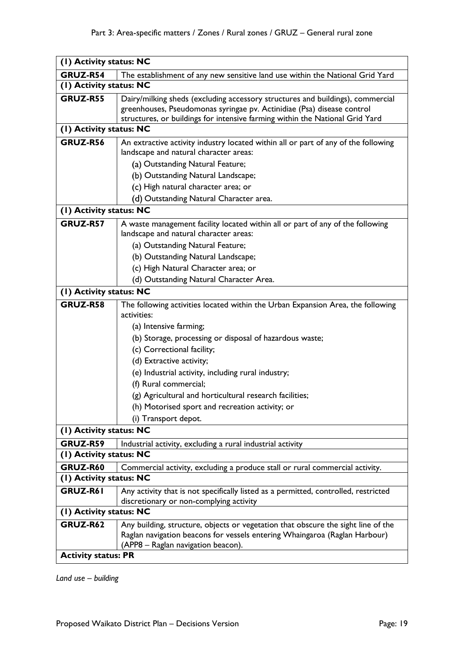| (1) Activity status: NC                                                                   |                                                                                                                                                                                                                                          |  |  |
|-------------------------------------------------------------------------------------------|------------------------------------------------------------------------------------------------------------------------------------------------------------------------------------------------------------------------------------------|--|--|
| GRUZ-R54<br>The establishment of any new sensitive land use within the National Grid Yard |                                                                                                                                                                                                                                          |  |  |
| (1) Activity status: NC                                                                   |                                                                                                                                                                                                                                          |  |  |
| GRUZ-R55                                                                                  | Dairy/milking sheds (excluding accessory structures and buildings), commercial<br>greenhouses, Pseudomonas syringae pv. Actinidiae (Psa) disease control<br>structures, or buildings for intensive farming within the National Grid Yard |  |  |
| (1) Activity status: NC                                                                   |                                                                                                                                                                                                                                          |  |  |
| <b>GRUZ-R56</b>                                                                           | An extractive activity industry located within all or part of any of the following<br>landscape and natural character areas:<br>(a) Outstanding Natural Feature;<br>(b) Outstanding Natural Landscape;                                   |  |  |
|                                                                                           | (c) High natural character area; or                                                                                                                                                                                                      |  |  |
|                                                                                           | (d) Outstanding Natural Character area.                                                                                                                                                                                                  |  |  |
| (1) Activity status: NC                                                                   |                                                                                                                                                                                                                                          |  |  |
|                                                                                           |                                                                                                                                                                                                                                          |  |  |
| GRUZ-R57                                                                                  | A waste management facility located within all or part of any of the following<br>landscape and natural character areas:                                                                                                                 |  |  |
|                                                                                           |                                                                                                                                                                                                                                          |  |  |
|                                                                                           | (a) Outstanding Natural Feature;                                                                                                                                                                                                         |  |  |
|                                                                                           | (b) Outstanding Natural Landscape;                                                                                                                                                                                                       |  |  |
|                                                                                           | (c) High Natural Character area; or                                                                                                                                                                                                      |  |  |
|                                                                                           | (d) Outstanding Natural Character Area.                                                                                                                                                                                                  |  |  |
| (I) Activity status: NC                                                                   |                                                                                                                                                                                                                                          |  |  |
| GRUZ-R58                                                                                  | The following activities located within the Urban Expansion Area, the following                                                                                                                                                          |  |  |
|                                                                                           | activities:                                                                                                                                                                                                                              |  |  |
|                                                                                           | (a) Intensive farming;                                                                                                                                                                                                                   |  |  |
|                                                                                           | (b) Storage, processing or disposal of hazardous waste;                                                                                                                                                                                  |  |  |
|                                                                                           | (c) Correctional facility;                                                                                                                                                                                                               |  |  |
|                                                                                           | (d) Extractive activity;                                                                                                                                                                                                                 |  |  |
|                                                                                           | (e) Industrial activity, including rural industry;                                                                                                                                                                                       |  |  |
|                                                                                           | (f) Rural commercial;                                                                                                                                                                                                                    |  |  |
|                                                                                           | (g) Agricultural and horticultural research facilities;                                                                                                                                                                                  |  |  |
|                                                                                           | (h) Motorised sport and recreation activity; or                                                                                                                                                                                          |  |  |
|                                                                                           | (i) Transport depot.                                                                                                                                                                                                                     |  |  |
| (I) Activity status: NC                                                                   |                                                                                                                                                                                                                                          |  |  |
| GRUZ-R59                                                                                  | Industrial activity, excluding a rural industrial activity                                                                                                                                                                               |  |  |
| (1) Activity status: NC                                                                   |                                                                                                                                                                                                                                          |  |  |
| GRUZ-R60                                                                                  | Commercial activity, excluding a produce stall or rural commercial activity.                                                                                                                                                             |  |  |
| (I) Activity status: NC                                                                   |                                                                                                                                                                                                                                          |  |  |
| GRUZ-R61                                                                                  | Any activity that is not specifically listed as a permitted, controlled, restricted                                                                                                                                                      |  |  |
|                                                                                           | discretionary or non-complying activity                                                                                                                                                                                                  |  |  |
| (I) Activity status: NC                                                                   |                                                                                                                                                                                                                                          |  |  |
| GRUZ-R62                                                                                  | Any building, structure, objects or vegetation that obscure the sight line of the<br>Raglan navigation beacons for vessels entering Whaingaroa (Raglan Harbour)<br>(APP8 - Raglan navigation beacon).                                    |  |  |
| <b>Activity status: PR</b>                                                                |                                                                                                                                                                                                                                          |  |  |

*Land use – building*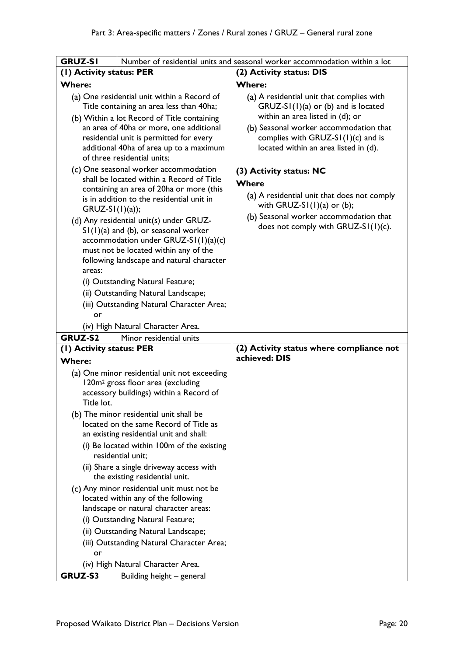| <b>GRUZ-SI</b>                                                                                                                                                                                                                                                                                                                                                                                                               | Number of residential units and seasonal worker accommodation within a lot                                                                                                                           |
|------------------------------------------------------------------------------------------------------------------------------------------------------------------------------------------------------------------------------------------------------------------------------------------------------------------------------------------------------------------------------------------------------------------------------|------------------------------------------------------------------------------------------------------------------------------------------------------------------------------------------------------|
| (1) Activity status: PER                                                                                                                                                                                                                                                                                                                                                                                                     | (2) Activity status: DIS                                                                                                                                                                             |
|                                                                                                                                                                                                                                                                                                                                                                                                                              |                                                                                                                                                                                                      |
| <b>Where:</b>                                                                                                                                                                                                                                                                                                                                                                                                                | <b>Where:</b>                                                                                                                                                                                        |
| (a) One residential unit within a Record of<br>Title containing an area less than 40ha;<br>(b) Within a lot Record of Title containing                                                                                                                                                                                                                                                                                       | (a) A residential unit that complies with<br>$GRUZ-SI(1)(a)$ or (b) and is located<br>within an area listed in (d); or                                                                               |
| an area of 40ha or more, one additional<br>residential unit is permitted for every<br>additional 40ha of area up to a maximum<br>of three residential units;                                                                                                                                                                                                                                                                 | (b) Seasonal worker accommodation that<br>complies with GRUZ-S $I(1)(c)$ and is<br>located within an area listed in (d).                                                                             |
| (c) One seasonal worker accommodation<br>shall be located within a Record of Title<br>containing an area of 20ha or more (this<br>is in addition to the residential unit in<br>$GRUZ-SI(1)(a);$<br>(d) Any residential unit(s) under GRUZ-<br>$SI(1)(a)$ and (b), or seasonal worker<br>accommodation under GRUZ-SI(I)(a)(c)<br>must not be located within any of the<br>following landscape and natural character<br>areas: | (3) Activity status: NC<br>Where<br>(a) A residential unit that does not comply<br>with GRUZ-S $I(1)(a)$ or (b);<br>(b) Seasonal worker accommodation that<br>does not comply with $GRUZ-SI(1)(c)$ . |
| (i) Outstanding Natural Feature;                                                                                                                                                                                                                                                                                                                                                                                             |                                                                                                                                                                                                      |
| (ii) Outstanding Natural Landscape;                                                                                                                                                                                                                                                                                                                                                                                          |                                                                                                                                                                                                      |
| (iii) Outstanding Natural Character Area;                                                                                                                                                                                                                                                                                                                                                                                    |                                                                                                                                                                                                      |
| or                                                                                                                                                                                                                                                                                                                                                                                                                           |                                                                                                                                                                                                      |
| (iv) High Natural Character Area.                                                                                                                                                                                                                                                                                                                                                                                            |                                                                                                                                                                                                      |
| <b>GRUZ-S2</b><br>Minor residential units                                                                                                                                                                                                                                                                                                                                                                                    |                                                                                                                                                                                                      |
| (I) Activity status: PER                                                                                                                                                                                                                                                                                                                                                                                                     | (2) Activity status where compliance not                                                                                                                                                             |
| <b>Where:</b>                                                                                                                                                                                                                                                                                                                                                                                                                | achieved: DIS                                                                                                                                                                                        |
| (a) One minor residential unit not exceeding<br>120m <sup>2</sup> gross floor area (excluding<br>accessory buildings) within a Record of<br>Title lot.                                                                                                                                                                                                                                                                       |                                                                                                                                                                                                      |
| (b) The minor residential unit shall be<br>located on the same Record of Title as<br>an existing residential unit and shall:<br>(i) Be located within 100m of the existing<br>residential unit;                                                                                                                                                                                                                              |                                                                                                                                                                                                      |
| (ii) Share a single driveway access with<br>the existing residential unit.                                                                                                                                                                                                                                                                                                                                                   |                                                                                                                                                                                                      |
| (c) Any minor residential unit must not be<br>located within any of the following<br>landscape or natural character areas:                                                                                                                                                                                                                                                                                                   |                                                                                                                                                                                                      |
| (i) Outstanding Natural Feature;                                                                                                                                                                                                                                                                                                                                                                                             |                                                                                                                                                                                                      |
|                                                                                                                                                                                                                                                                                                                                                                                                                              |                                                                                                                                                                                                      |
| (ii) Outstanding Natural Landscape;                                                                                                                                                                                                                                                                                                                                                                                          |                                                                                                                                                                                                      |
| (iii) Outstanding Natural Character Area;                                                                                                                                                                                                                                                                                                                                                                                    |                                                                                                                                                                                                      |
| or                                                                                                                                                                                                                                                                                                                                                                                                                           |                                                                                                                                                                                                      |
| (iv) High Natural Character Area.<br>GRUZ-S3<br>Building height - general                                                                                                                                                                                                                                                                                                                                                    |                                                                                                                                                                                                      |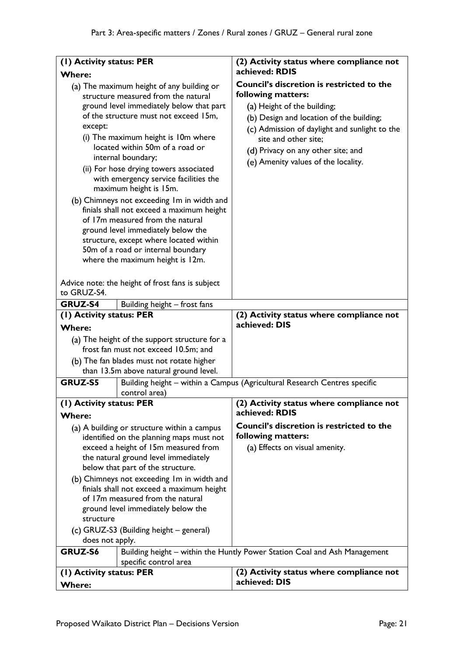| (1) Activity status: PER            |                                                                                                                                                                                                                                                                                                                                                                                                                                                                                                                                                                                                                                                                                                                                 | (2) Activity status where compliance not                                                                                                                                                                                                                                                                |
|-------------------------------------|---------------------------------------------------------------------------------------------------------------------------------------------------------------------------------------------------------------------------------------------------------------------------------------------------------------------------------------------------------------------------------------------------------------------------------------------------------------------------------------------------------------------------------------------------------------------------------------------------------------------------------------------------------------------------------------------------------------------------------|---------------------------------------------------------------------------------------------------------------------------------------------------------------------------------------------------------------------------------------------------------------------------------------------------------|
| <b>Where:</b>                       |                                                                                                                                                                                                                                                                                                                                                                                                                                                                                                                                                                                                                                                                                                                                 | achieved: RDIS                                                                                                                                                                                                                                                                                          |
| except:<br>to GRUZ-S4.              | (a) The maximum height of any building or<br>structure measured from the natural<br>ground level immediately below that part<br>of the structure must not exceed 15m,<br>(i) The maximum height is 10m where<br>located within 50m of a road or<br>internal boundary;<br>(ii) For hose drying towers associated<br>with emergency service facilities the<br>maximum height is 15m.<br>(b) Chimneys not exceeding Im in width and<br>finials shall not exceed a maximum height<br>of 17m measured from the natural<br>ground level immediately below the<br>structure, except where located within<br>50m of a road or internal boundary<br>where the maximum height is 12m.<br>Advice note: the height of frost fans is subject | <b>Council's discretion is restricted to the</b><br>following matters:<br>(a) Height of the building;<br>(b) Design and location of the building;<br>(c) Admission of daylight and sunlight to the<br>site and other site;<br>(d) Privacy on any other site; and<br>(e) Amenity values of the locality. |
|                                     |                                                                                                                                                                                                                                                                                                                                                                                                                                                                                                                                                                                                                                                                                                                                 |                                                                                                                                                                                                                                                                                                         |
| GRUZ-S4<br>(I) Activity status: PER | Building height - frost fans                                                                                                                                                                                                                                                                                                                                                                                                                                                                                                                                                                                                                                                                                                    | (2) Activity status where compliance not                                                                                                                                                                                                                                                                |
| <b>Where:</b>                       |                                                                                                                                                                                                                                                                                                                                                                                                                                                                                                                                                                                                                                                                                                                                 | achieved: DIS                                                                                                                                                                                                                                                                                           |
|                                     | (a) The height of the support structure for a                                                                                                                                                                                                                                                                                                                                                                                                                                                                                                                                                                                                                                                                                   |                                                                                                                                                                                                                                                                                                         |
|                                     | frost fan must not exceed 10.5m; and                                                                                                                                                                                                                                                                                                                                                                                                                                                                                                                                                                                                                                                                                            |                                                                                                                                                                                                                                                                                                         |
|                                     | (b) The fan blades must not rotate higher                                                                                                                                                                                                                                                                                                                                                                                                                                                                                                                                                                                                                                                                                       |                                                                                                                                                                                                                                                                                                         |
|                                     | than 13.5m above natural ground level.                                                                                                                                                                                                                                                                                                                                                                                                                                                                                                                                                                                                                                                                                          |                                                                                                                                                                                                                                                                                                         |
| <b>GRUZ-S5</b>                      | control area)                                                                                                                                                                                                                                                                                                                                                                                                                                                                                                                                                                                                                                                                                                                   | Building height - within a Campus (Agricultural Research Centres specific                                                                                                                                                                                                                               |
| (I) Activity status: PER            |                                                                                                                                                                                                                                                                                                                                                                                                                                                                                                                                                                                                                                                                                                                                 | (2) Activity status where compliance not                                                                                                                                                                                                                                                                |
| <b>Where:</b>                       |                                                                                                                                                                                                                                                                                                                                                                                                                                                                                                                                                                                                                                                                                                                                 | achieved: RDIS                                                                                                                                                                                                                                                                                          |
|                                     | (a) A building or structure within a campus                                                                                                                                                                                                                                                                                                                                                                                                                                                                                                                                                                                                                                                                                     | Council's discretion is restricted to the                                                                                                                                                                                                                                                               |
|                                     | identified on the planning maps must not                                                                                                                                                                                                                                                                                                                                                                                                                                                                                                                                                                                                                                                                                        | following matters:                                                                                                                                                                                                                                                                                      |
|                                     | exceed a height of 15m measured from                                                                                                                                                                                                                                                                                                                                                                                                                                                                                                                                                                                                                                                                                            | (a) Effects on visual amenity.                                                                                                                                                                                                                                                                          |
|                                     | the natural ground level immediately                                                                                                                                                                                                                                                                                                                                                                                                                                                                                                                                                                                                                                                                                            |                                                                                                                                                                                                                                                                                                         |
|                                     | below that part of the structure.                                                                                                                                                                                                                                                                                                                                                                                                                                                                                                                                                                                                                                                                                               |                                                                                                                                                                                                                                                                                                         |
|                                     | (b) Chimneys not exceeding Im in width and<br>finials shall not exceed a maximum height                                                                                                                                                                                                                                                                                                                                                                                                                                                                                                                                                                                                                                         |                                                                                                                                                                                                                                                                                                         |
|                                     | of 17m measured from the natural                                                                                                                                                                                                                                                                                                                                                                                                                                                                                                                                                                                                                                                                                                |                                                                                                                                                                                                                                                                                                         |
|                                     | ground level immediately below the                                                                                                                                                                                                                                                                                                                                                                                                                                                                                                                                                                                                                                                                                              |                                                                                                                                                                                                                                                                                                         |
| structure                           |                                                                                                                                                                                                                                                                                                                                                                                                                                                                                                                                                                                                                                                                                                                                 |                                                                                                                                                                                                                                                                                                         |
|                                     | (c) GRUZ-S3 (Building height – general)                                                                                                                                                                                                                                                                                                                                                                                                                                                                                                                                                                                                                                                                                         |                                                                                                                                                                                                                                                                                                         |
| does not apply.                     |                                                                                                                                                                                                                                                                                                                                                                                                                                                                                                                                                                                                                                                                                                                                 |                                                                                                                                                                                                                                                                                                         |
| GRUZ-S6                             |                                                                                                                                                                                                                                                                                                                                                                                                                                                                                                                                                                                                                                                                                                                                 | Building height - within the Huntly Power Station Coal and Ash Management                                                                                                                                                                                                                               |
|                                     | specific control area                                                                                                                                                                                                                                                                                                                                                                                                                                                                                                                                                                                                                                                                                                           |                                                                                                                                                                                                                                                                                                         |
| (1) Activity status: PER            |                                                                                                                                                                                                                                                                                                                                                                                                                                                                                                                                                                                                                                                                                                                                 | (2) Activity status where compliance not<br>achieved: DIS                                                                                                                                                                                                                                               |
| <b>Where:</b>                       |                                                                                                                                                                                                                                                                                                                                                                                                                                                                                                                                                                                                                                                                                                                                 |                                                                                                                                                                                                                                                                                                         |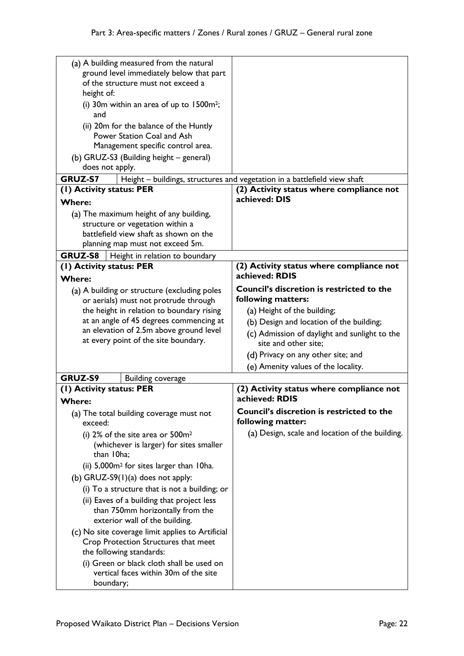| (a) A building measured from the natural             |                                                                           |
|------------------------------------------------------|---------------------------------------------------------------------------|
| ground level immediately below that part             |                                                                           |
| of the structure must not exceed a                   |                                                                           |
| height of:                                           |                                                                           |
| (i) 30 $m$ within an area of up to 1500 $m^2$ ;      |                                                                           |
| and                                                  |                                                                           |
| (ii) 20m for the balance of the Huntly               |                                                                           |
| Power Station Coal and Ash                           |                                                                           |
| Management specific control area.                    |                                                                           |
| (b) GRUZ-S3 (Building height - general)              |                                                                           |
| does not apply.                                      |                                                                           |
| <b>GRUZ-S7</b>                                       | Height - buildings, structures and vegetation in a battlefield view shaft |
| (1) Activity status: PER                             | (2) Activity status where compliance not                                  |
| <b>Where:</b>                                        | achieved: DIS                                                             |
| (a) The maximum height of any building,              |                                                                           |
| structure or vegetation within a                     |                                                                           |
| battlefield view shaft as shown on the               |                                                                           |
| planning map must not exceed 5m.                     |                                                                           |
| <b>GRUZ-S8</b><br>  Height in relation to boundary   |                                                                           |
| (1) Activity status: PER                             | (2) Activity status where compliance not                                  |
| <b>Where:</b>                                        | achieved: RDIS                                                            |
| (a) A building or structure (excluding poles         | <b>Council's discretion is restricted to the</b>                          |
| or aerials) must not protrude through                | following matters:                                                        |
| the height in relation to boundary rising            | (a) Height of the building;                                               |
| at an angle of 45 degrees commencing at              | (b) Design and location of the building;                                  |
| an elevation of 2.5m above ground level              | (c) Admission of daylight and sunlight to the                             |
| at every point of the site boundary.                 | site and other site;                                                      |
|                                                      | (d) Privacy on any other site; and                                        |
|                                                      | (e) Amenity values of the locality.                                       |
|                                                      |                                                                           |
| <b>GRUZ-S9</b><br><b>Building coverage</b>           | (2) Activity status where compliance not                                  |
| (1) Activity status: PER                             | achieved: RDIS                                                            |
| <b>Where:</b>                                        |                                                                           |
| (a) The total building coverage must not<br>exceed:  | Council's discretion is restricted to the<br>following matter:            |
| (i) $2\%$ of the site area or $500m^2$               | (a) Design, scale and location of the building.                           |
| (whichever is larger) for sites smaller              |                                                                           |
| than 10ha;                                           |                                                                           |
| (ii) 5,000m <sup>2</sup> for sites larger than 10ha. |                                                                           |
| (b) GRUZ-S9 $(1)(a)$ does not apply:                 |                                                                           |
|                                                      |                                                                           |
| (i) To a structure that is not a building; or        |                                                                           |
| (ii) Eaves of a building that project less           |                                                                           |
| than 750mm horizontally from the                     |                                                                           |
| exterior wall of the building.                       |                                                                           |
| (c) No site coverage limit applies to Artificial     |                                                                           |
| Crop Protection Structures that meet                 |                                                                           |
| the following standards:                             |                                                                           |
| (i) Green or black cloth shall be used on            |                                                                           |
| vertical faces within 30m of the site                |                                                                           |
| boundary;                                            |                                                                           |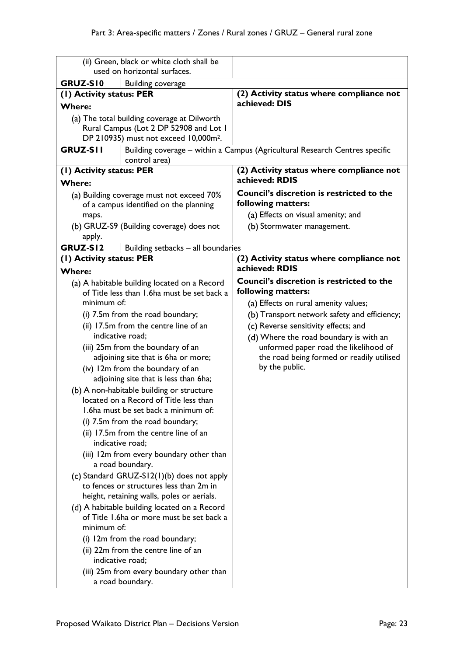|                                                                      | (ii) Green, black or white cloth shall be                                                 |                                                                             |
|----------------------------------------------------------------------|-------------------------------------------------------------------------------------------|-----------------------------------------------------------------------------|
| used on horizontal surfaces.<br>GRUZ-SI0<br><b>Building coverage</b> |                                                                                           |                                                                             |
| (1) Activity status: PER                                             |                                                                                           | (2) Activity status where compliance not                                    |
| <b>Where:</b>                                                        |                                                                                           | achieved: DIS                                                               |
|                                                                      | (a) The total building coverage at Dilworth                                               |                                                                             |
|                                                                      | Rural Campus (Lot 2 DP 52908 and Lot 1                                                    |                                                                             |
|                                                                      | DP 210935) must not exceed 10,000m <sup>2</sup> .                                         |                                                                             |
| <b>GRUZ-SII</b>                                                      | control area)                                                                             | Building coverage - within a Campus (Agricultural Research Centres specific |
| (1) Activity status: PER                                             |                                                                                           | (2) Activity status where compliance not                                    |
| <b>Where:</b>                                                        |                                                                                           | achieved: RDIS                                                              |
|                                                                      | (a) Building coverage must not exceed 70%                                                 | <b>Council's discretion is restricted to the</b>                            |
|                                                                      | of a campus identified on the planning                                                    | following matters:                                                          |
| maps.                                                                |                                                                                           | (a) Effects on visual amenity; and                                          |
|                                                                      | (b) GRUZ-S9 (Building coverage) does not                                                  | (b) Stormwater management.                                                  |
| apply.                                                               |                                                                                           |                                                                             |
| GRUZ-SI2                                                             | Building setbacks - all boundaries                                                        |                                                                             |
| (1) Activity status: PER<br><b>Where:</b>                            |                                                                                           | (2) Activity status where compliance not<br>achieved: RDIS                  |
|                                                                      | (a) A habitable building located on a Record                                              | <b>Council's discretion is restricted to the</b>                            |
|                                                                      | of Title less than 1.6ha must be set back a                                               | following matters:                                                          |
| minimum of:                                                          |                                                                                           | (a) Effects on rural amenity values;                                        |
|                                                                      | (i) 7.5m from the road boundary;                                                          | (b) Transport network safety and efficiency;                                |
|                                                                      | (ii) 17.5m from the centre line of an                                                     | (c) Reverse sensitivity effects; and                                        |
|                                                                      | indicative road;                                                                          | (d) Where the road boundary is with an                                      |
| (iii) 25m from the boundary of an                                    |                                                                                           | unformed paper road the likelihood of                                       |
| adjoining site that is 6ha or more;                                  |                                                                                           | the road being formed or readily utilised                                   |
|                                                                      | (iv) 12m from the boundary of an                                                          | by the public.                                                              |
|                                                                      | adjoining site that is less than 6ha;                                                     |                                                                             |
|                                                                      | (b) A non-habitable building or structure<br>located on a Record of Title less than       |                                                                             |
|                                                                      | 1.6ha must be set back a minimum of:                                                      |                                                                             |
|                                                                      | (i) 7.5m from the road boundary;                                                          |                                                                             |
|                                                                      | (ii) 17.5m from the centre line of an                                                     |                                                                             |
|                                                                      | indicative road:                                                                          |                                                                             |
|                                                                      | (iii) 12m from every boundary other than                                                  |                                                                             |
|                                                                      | a road boundary.                                                                          |                                                                             |
|                                                                      | (c) Standard GRUZ-S12(1)(b) does not apply                                                |                                                                             |
|                                                                      | to fences or structures less than 2m in                                                   |                                                                             |
|                                                                      | height, retaining walls, poles or aerials.                                                |                                                                             |
|                                                                      | (d) A habitable building located on a Record<br>of Title 1.6ha or more must be set back a |                                                                             |
| minimum of:                                                          |                                                                                           |                                                                             |
|                                                                      | (i) 12m from the road boundary;                                                           |                                                                             |
|                                                                      | (ii) 22m from the centre line of an                                                       |                                                                             |
|                                                                      | indicative road;                                                                          |                                                                             |
|                                                                      | (iii) 25m from every boundary other than                                                  |                                                                             |
|                                                                      | a road boundary.                                                                          |                                                                             |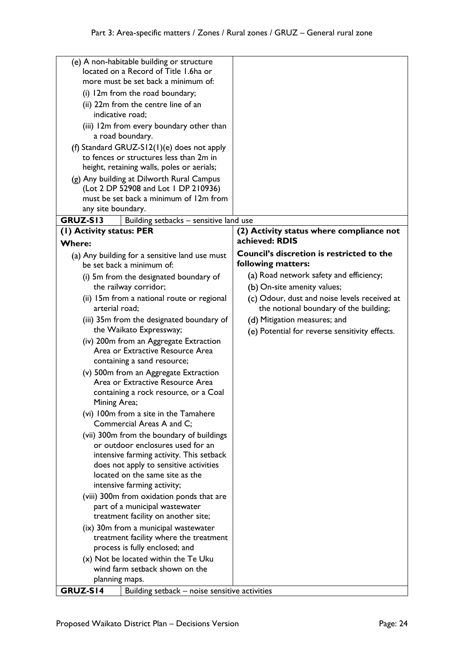|                          | (e) A non-habitable building or structure<br>located on a Record of Title 1.6ha or |                                                                                        |
|--------------------------|------------------------------------------------------------------------------------|----------------------------------------------------------------------------------------|
|                          | more must be set back a minimum of:                                                |                                                                                        |
|                          | (i) 12m from the road boundary;                                                    |                                                                                        |
|                          | (ii) 22m from the centre line of an                                                |                                                                                        |
| indicative road;         |                                                                                    |                                                                                        |
|                          | (iii) 12m from every boundary other than<br>a road boundary.                       |                                                                                        |
|                          | (f) Standard GRUZ-S12(1)(e) does not apply                                         |                                                                                        |
|                          | to fences or structures less than 2m in                                            |                                                                                        |
|                          | height, retaining walls, poles or aerials;                                         |                                                                                        |
|                          | (g) Any building at Dilworth Rural Campus                                          |                                                                                        |
|                          | (Lot 2 DP 52908 and Lot 1 DP 210936)                                               |                                                                                        |
|                          | must be set back a minimum of 12m from                                             |                                                                                        |
| any site boundary.       |                                                                                    |                                                                                        |
| GRUZ-SI3                 | Building setbacks - sensitive land use                                             |                                                                                        |
| (1) Activity status: PER |                                                                                    | (2) Activity status where compliance not<br>achieved: RDIS                             |
| <b>Where:</b>            |                                                                                    | Council's discretion is restricted to the                                              |
|                          | (a) Any building for a sensitive land use must<br>be set back a minimum of:        | following matters:                                                                     |
|                          |                                                                                    | (a) Road network safety and efficiency;                                                |
|                          | (i) 5m from the designated boundary of                                             | (b) On-site amenity values;                                                            |
|                          | the railway corridor;                                                              |                                                                                        |
| arterial road;           | (ii) 15m from a national route or regional                                         | (c) Odour, dust and noise levels received at<br>the notional boundary of the building; |
|                          | (iii) 35m from the designated boundary of                                          | (d) Mitigation measures; and                                                           |
|                          | the Waikato Expressway;                                                            |                                                                                        |
|                          | (iv) 200m from an Aggregate Extraction                                             | (e) Potential for reverse sensitivity effects.                                         |
|                          | Area or Extractive Resource Area                                                   |                                                                                        |
|                          | containing a sand resource;                                                        |                                                                                        |
|                          | (v) 500m from an Aggregate Extraction                                              |                                                                                        |
|                          | Area or Extractive Resource Area                                                   |                                                                                        |
|                          | containing a rock resource, or a Coal                                              |                                                                                        |
| Mining Area;             |                                                                                    |                                                                                        |
|                          | (vi) 100m from a site in the Tamahere                                              |                                                                                        |
|                          | Commercial Areas A and C;                                                          |                                                                                        |
|                          | (vii) 300m from the boundary of buildings                                          |                                                                                        |
|                          | or outdoor enclosures used for an                                                  |                                                                                        |
|                          | intensive farming activity. This setback<br>does not apply to sensitive activities |                                                                                        |
|                          | located on the same site as the                                                    |                                                                                        |
|                          | intensive farming activity;                                                        |                                                                                        |
|                          | (viii) 300m from oxidation ponds that are                                          |                                                                                        |
|                          | part of a municipal wastewater                                                     |                                                                                        |
|                          | treatment facility on another site;                                                |                                                                                        |
|                          | (ix) 30m from a municipal wastewater                                               |                                                                                        |
|                          | treatment facility where the treatment                                             |                                                                                        |
|                          | process is fully enclosed; and                                                     |                                                                                        |
|                          | (x) Not be located within the Te Uku                                               |                                                                                        |
|                          | wind farm setback shown on the                                                     |                                                                                        |
| planning maps.           |                                                                                    |                                                                                        |
| GRUZ-S14                 | Building setback – noise sensitive activities                                      |                                                                                        |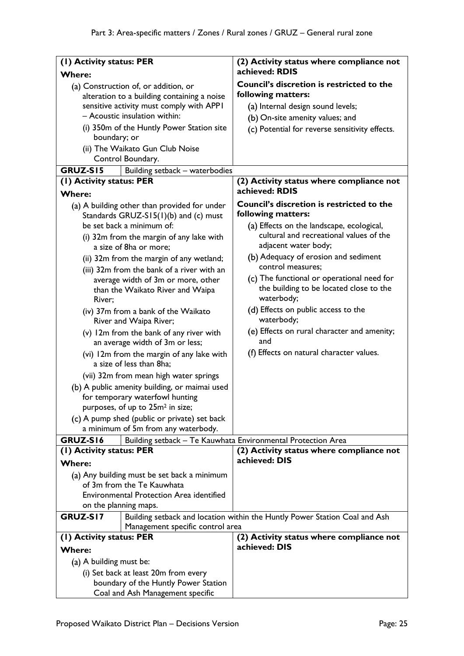| (1) Activity status: PER |                                                                                                                                  | (2) Activity status where compliance not                                                                     |
|--------------------------|----------------------------------------------------------------------------------------------------------------------------------|--------------------------------------------------------------------------------------------------------------|
| <b>Where:</b>            |                                                                                                                                  | achieved: RDIS                                                                                               |
|                          | (a) Construction of, or addition, or                                                                                             | Council's discretion is restricted to the                                                                    |
|                          | alteration to a building containing a noise                                                                                      | following matters:                                                                                           |
|                          | sensitive activity must comply with APPI                                                                                         | (a) Internal design sound levels;                                                                            |
|                          | - Acoustic insulation within:                                                                                                    | (b) On-site amenity values; and                                                                              |
| boundary; or             | (i) 350m of the Huntly Power Station site                                                                                        | (c) Potential for reverse sensitivity effects.                                                               |
|                          | (ii) The Waikato Gun Club Noise<br>Control Boundary.                                                                             |                                                                                                              |
| <b>GRUZ-S15</b>          | Building setback - waterbodies                                                                                                   |                                                                                                              |
| (I) Activity status: PER |                                                                                                                                  | (2) Activity status where compliance not                                                                     |
| <b>Where:</b>            |                                                                                                                                  | achieved: RDIS                                                                                               |
|                          | (a) A building other than provided for under<br>Standards GRUZ-S15(1)(b) and (c) must<br>be set back a minimum of:               | Council's discretion is restricted to the<br>following matters:<br>(a) Effects on the landscape, ecological, |
|                          | (i) 32m from the margin of any lake with<br>a size of 8ha or more;                                                               | cultural and recreational values of the<br>adjacent water body;                                              |
|                          | (ii) 32m from the margin of any wetland;<br>(iii) 32m from the bank of a river with an                                           | (b) Adequacy of erosion and sediment<br>control measures:                                                    |
| River;                   | average width of 3m or more, other<br>than the Waikato River and Waipa                                                           | (c) The functional or operational need for<br>the building to be located close to the<br>waterbody;          |
|                          | (iv) 37m from a bank of the Waikato<br>River and Waipa River;                                                                    | (d) Effects on public access to the<br>waterbody;                                                            |
|                          | (v) 12m from the bank of any river with<br>an average width of 3m or less;                                                       | (e) Effects on rural character and amenity;<br>and                                                           |
|                          | (vi) 12m from the margin of any lake with<br>a size of less than 8ha;                                                            | (f) Effects on natural character values.                                                                     |
|                          | (vii) 32m from mean high water springs                                                                                           |                                                                                                              |
|                          | (b) A public amenity building, or maimai used<br>for temporary waterfowl hunting<br>purposes, of up to 25m <sup>2</sup> in size; |                                                                                                              |
|                          | (c) A pump shed (public or private) set back<br>a minimum of 5m from any waterbody.                                              |                                                                                                              |
| GRUZ-S16                 |                                                                                                                                  | Building setback - Te Kauwhata Environmental Protection Area                                                 |
| (1) Activity status: PER |                                                                                                                                  | (2) Activity status where compliance not                                                                     |
| <b>Where:</b>            |                                                                                                                                  | achieved: DIS                                                                                                |
|                          | (a) Any building must be set back a minimum<br>of 3m from the Te Kauwhata                                                        |                                                                                                              |
|                          | <b>Environmental Protection Area identified</b><br>on the planning maps.                                                         |                                                                                                              |
| GRUZ-SI7                 |                                                                                                                                  | Building setback and location within the Huntly Power Station Coal and Ash                                   |
|                          | Management specific control area                                                                                                 |                                                                                                              |
| (1) Activity status: PER |                                                                                                                                  | (2) Activity status where compliance not<br>achieved: DIS                                                    |
| <b>Where:</b>            |                                                                                                                                  |                                                                                                              |
| (a) A building must be:  |                                                                                                                                  |                                                                                                              |
|                          | (i) Set back at least 20m from every                                                                                             |                                                                                                              |
|                          | boundary of the Huntly Power Station<br>Coal and Ash Management specific                                                         |                                                                                                              |